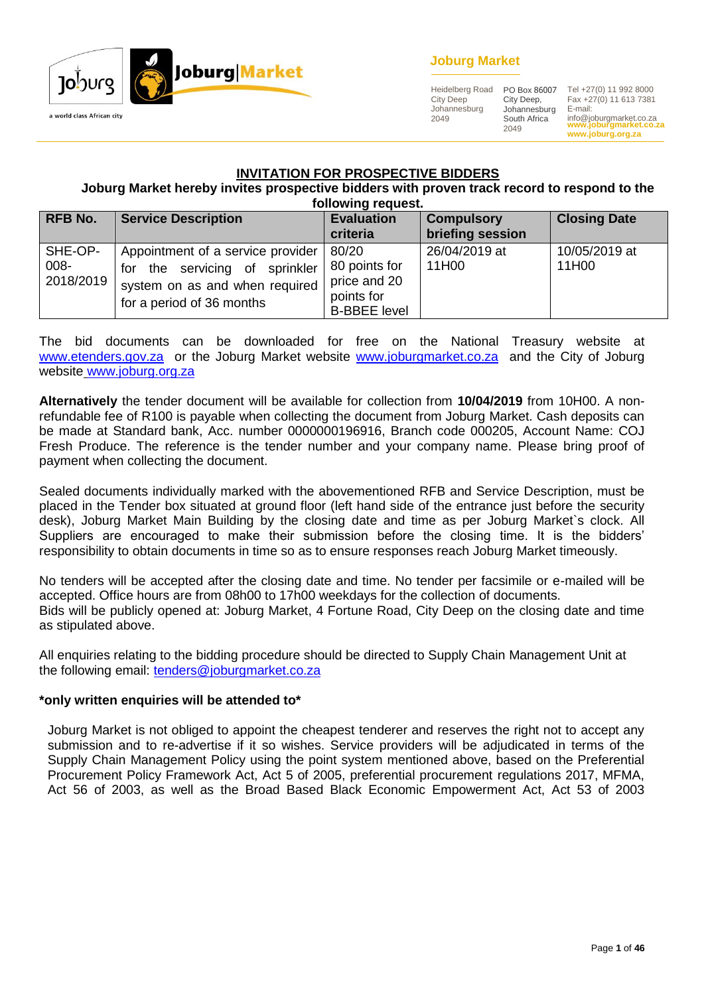

# **Joburg Market**

Heidelberg Road City Deep Johannesburg 2049

PO Box 86007 City Deep, Johannesburg South Africa 2049

**www.joburgmarket.co.za** info@joburgmarket.co.za **www.joburg.org.za** Tel +27(0) 11 992 8000 Fax +27(0) 11 613 7381 E-mail:

#### **INVITATION FOR PROSPECTIVE BIDDERS**

**Joburg Market hereby invites prospective bidders with proven track record to respond to the following request.**

| <b>RFB No.</b>               | <b>Service Description</b>                                                                                                               | <b>Evaluation</b><br>criteria                                               | <b>Compulsory</b><br>briefing session | <b>Closing Date</b>    |  |  |  |
|------------------------------|------------------------------------------------------------------------------------------------------------------------------------------|-----------------------------------------------------------------------------|---------------------------------------|------------------------|--|--|--|
| SHE-OP-<br>008-<br>2018/2019 | Appointment of a service provider<br>servicing of sprinkler<br>the<br>for<br>system on as and when required<br>for a period of 36 months | 80/20<br>80 points for<br>price and 20<br>points for<br><b>B-BBEE level</b> | 26/04/2019 at<br>11H00                | 10/05/2019 at<br>11H00 |  |  |  |

The bid documents can be downloaded for free on the National Treasury website at [www.etenders.gov.za](http://www.etenders.gov.za/) or the Joburg Market website [www.joburgmarket.co.za](http://www.joburgmarket.co.za/) and the City of Joburg website [www.joburg.org.za](http://www.joburg.org.za/)

**Alternatively** the tender document will be available for collection from **10/04/2019** from 10H00. A nonrefundable fee of R100 is payable when collecting the document from Joburg Market. Cash deposits can be made at Standard bank, Acc. number 0000000196916, Branch code 000205, Account Name: COJ Fresh Produce. The reference is the tender number and your company name. Please bring proof of payment when collecting the document.

Sealed documents individually marked with the abovementioned RFB and Service Description, must be placed in the Tender box situated at ground floor (left hand side of the entrance just before the security desk), Joburg Market Main Building by the closing date and time as per Joburg Market`s clock. All Suppliers are encouraged to make their submission before the closing time. It is the bidders' responsibility to obtain documents in time so as to ensure responses reach Joburg Market timeously.

No tenders will be accepted after the closing date and time. No tender per facsimile or e-mailed will be accepted. Office hours are from 08h00 to 17h00 weekdays for the collection of documents. Bids will be publicly opened at: Joburg Market, 4 Fortune Road, City Deep on the closing date and time as stipulated above.

All enquiries relating to the bidding procedure should be directed to Supply Chain Management Unit at the following email: [tenders@joburgmarket.co.za](mailto:tenders@joburgmarket.co.za)

#### **\*only written enquiries will be attended to\***

Joburg Market is not obliged to appoint the cheapest tenderer and reserves the right not to accept any submission and to re-advertise if it so wishes. Service providers will be adjudicated in terms of the Supply Chain Management Policy using the point system mentioned above, based on the Preferential Procurement Policy Framework Act, Act 5 of 2005, preferential procurement regulations 2017, MFMA, Act 56 of 2003, as well as the Broad Based Black Economic Empowerment Act, Act 53 of 2003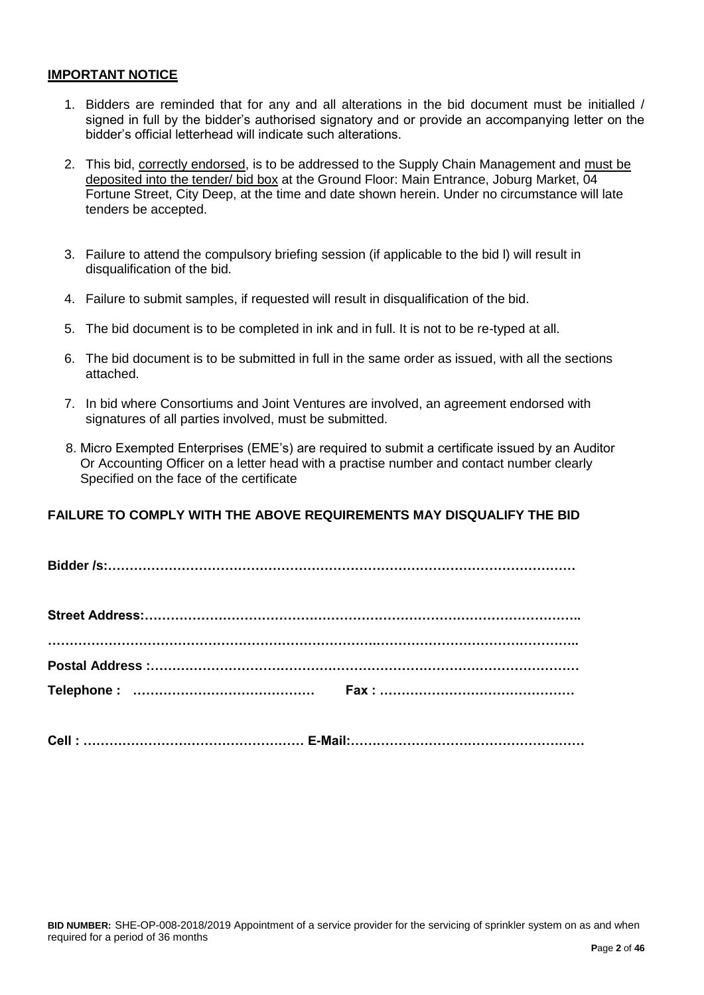#### **IMPORTANT NOTICE**

- 1. Bidders are reminded that for any and all alterations in the bid document must be initialled / signed in full by the bidder's authorised signatory and or provide an accompanying letter on the bidder's official letterhead will indicate such alterations.
- 2. This bid, correctly endorsed, is to be addressed to the Supply Chain Management and must be deposited into the tender/ bid box at the Ground Floor: Main Entrance, Joburg Market, 04 Fortune Street, City Deep, at the time and date shown herein. Under no circumstance will late tenders be accepted.
- 3. Failure to attend the compulsory briefing session (if applicable to the bid l) will result in disqualification of the bid.
- 4. Failure to submit samples, if requested will result in disqualification of the bid.
- 5. The bid document is to be completed in ink and in full. It is not to be re-typed at all.
- 6. The bid document is to be submitted in full in the same order as issued, with all the sections attached.
- 7. In bid where Consortiums and Joint Ventures are involved, an agreement endorsed with signatures of all parties involved, must be submitted.
- 8. Micro Exempted Enterprises (EME's) are required to submit a certificate issued by an Auditor Or Accounting Officer on a letter head with a practise number and contact number clearly Specified on the face of the certificate

# **FAILURE TO COMPLY WITH THE ABOVE REQUIREMENTS MAY DISQUALIFY THE BID**

**Bidder /s:………………………………………………………………………………………………**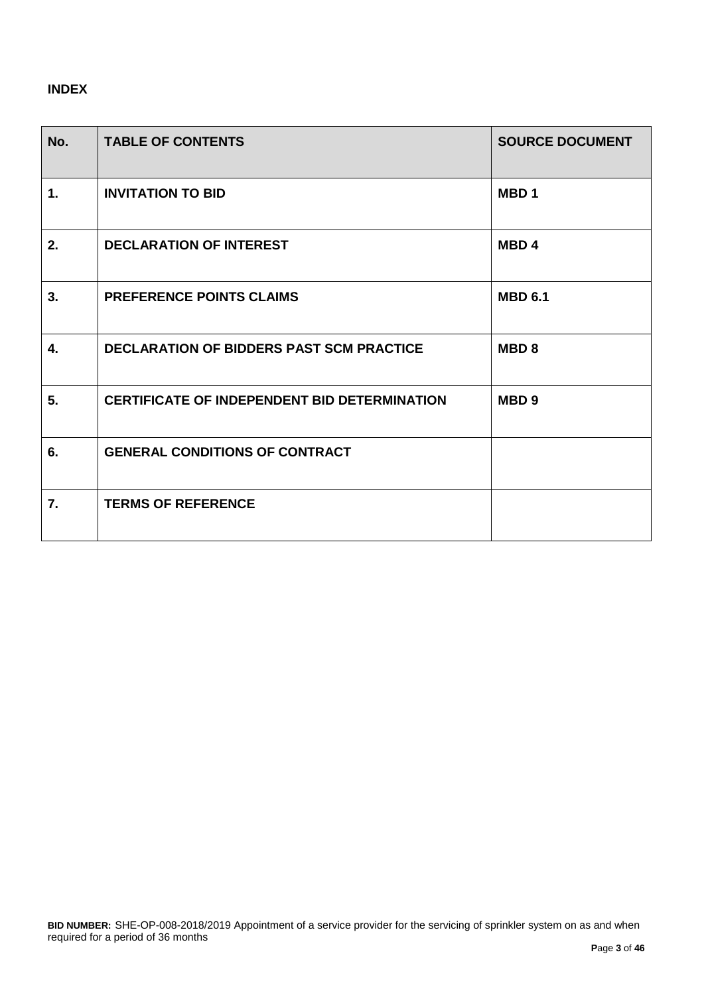# **INDEX**

| No.           | <b>TABLE OF CONTENTS</b>                            | <b>SOURCE DOCUMENT</b> |
|---------------|-----------------------------------------------------|------------------------|
| $\mathbf 1$ . | <b>INVITATION TO BID</b>                            | MBD <sub>1</sub>       |
| 2.            | <b>DECLARATION OF INTEREST</b>                      | MBD <sub>4</sub>       |
| 3.            | <b>PREFERENCE POINTS CLAIMS</b>                     | <b>MBD 6.1</b>         |
| 4.            | <b>DECLARATION OF BIDDERS PAST SCM PRACTICE</b>     | MBD <sub>8</sub>       |
| 5.            | <b>CERTIFICATE OF INDEPENDENT BID DETERMINATION</b> | MBD <sub>9</sub>       |
| 6.            | <b>GENERAL CONDITIONS OF CONTRACT</b>               |                        |
| 7.            | <b>TERMS OF REFERENCE</b>                           |                        |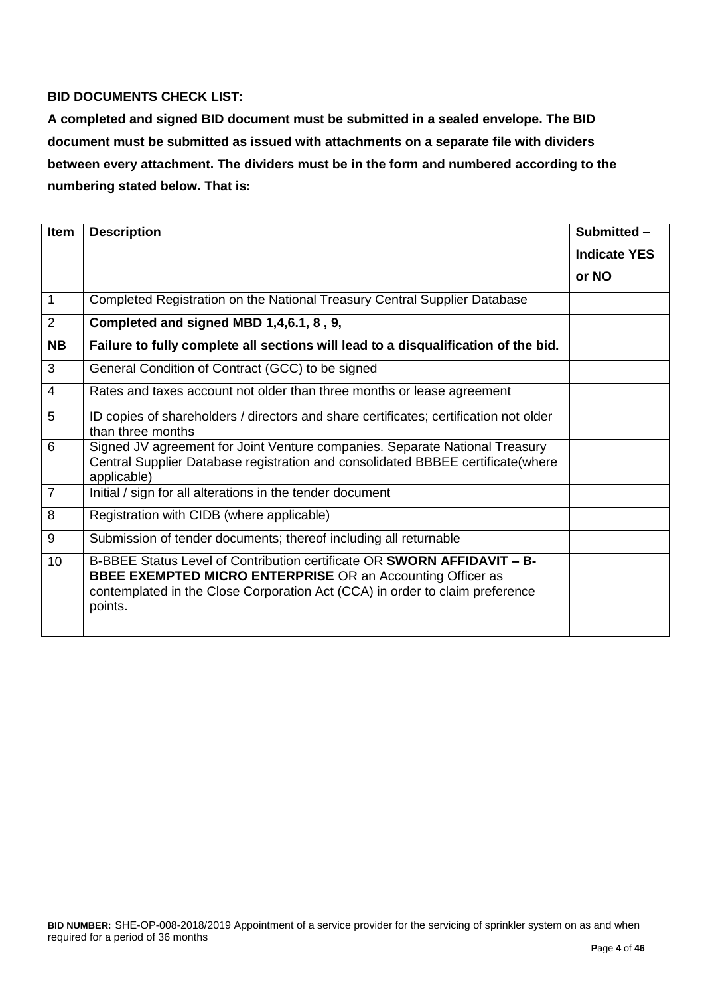# **BID DOCUMENTS CHECK LIST:**

**A completed and signed BID document must be submitted in a sealed envelope. The BID document must be submitted as issued with attachments on a separate file with dividers between every attachment. The dividers must be in the form and numbered according to the numbering stated below. That is:**

| <b>Item</b>    | <b>Description</b>                                                                                                                                                                                                                      | Submitted -         |
|----------------|-----------------------------------------------------------------------------------------------------------------------------------------------------------------------------------------------------------------------------------------|---------------------|
|                |                                                                                                                                                                                                                                         | <b>Indicate YES</b> |
|                |                                                                                                                                                                                                                                         | or NO               |
| 1              | Completed Registration on the National Treasury Central Supplier Database                                                                                                                                                               |                     |
| 2              | Completed and signed MBD 1,4,6.1, 8, 9,                                                                                                                                                                                                 |                     |
| <b>NB</b>      | Failure to fully complete all sections will lead to a disqualification of the bid.                                                                                                                                                      |                     |
| 3              | General Condition of Contract (GCC) to be signed                                                                                                                                                                                        |                     |
| $\overline{4}$ | Rates and taxes account not older than three months or lease agreement                                                                                                                                                                  |                     |
| 5              | ID copies of shareholders / directors and share certificates; certification not older<br>than three months                                                                                                                              |                     |
| $6\phantom{1}$ | Signed JV agreement for Joint Venture companies. Separate National Treasury<br>Central Supplier Database registration and consolidated BBBEE certificate(where<br>applicable)                                                           |                     |
| $\overline{7}$ | Initial / sign for all alterations in the tender document                                                                                                                                                                               |                     |
| 8              | Registration with CIDB (where applicable)                                                                                                                                                                                               |                     |
| 9              | Submission of tender documents; thereof including all returnable                                                                                                                                                                        |                     |
| 10             | B-BBEE Status Level of Contribution certificate OR SWORN AFFIDAVIT - B-<br><b>BBEE EXEMPTED MICRO ENTERPRISE OR an Accounting Officer as</b><br>contemplated in the Close Corporation Act (CCA) in order to claim preference<br>points. |                     |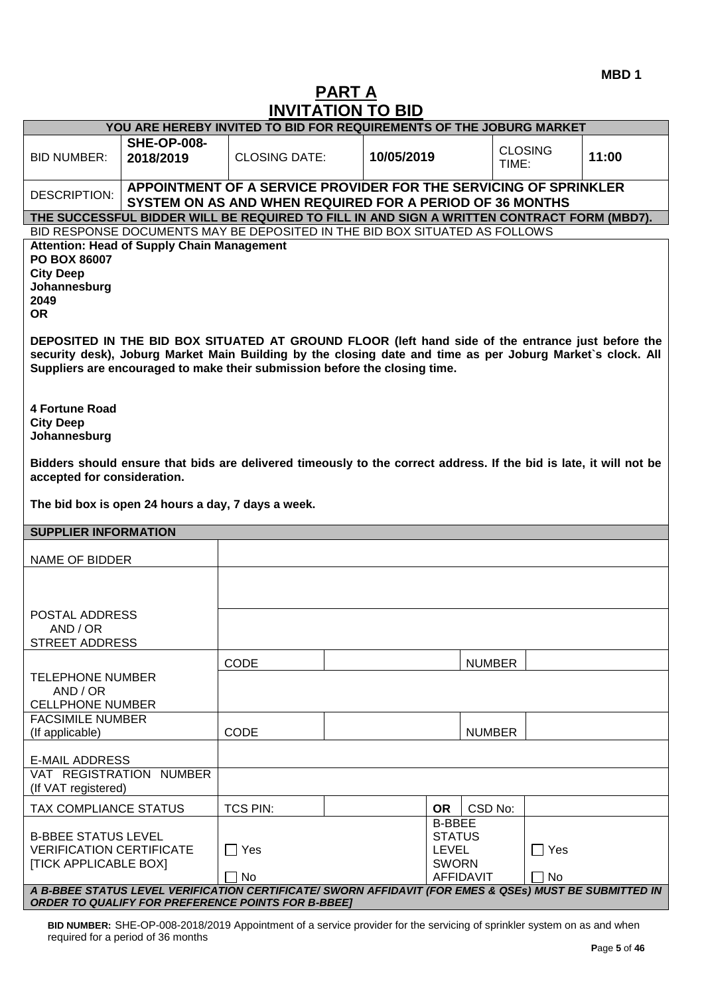**MBD 1**

# **PART A INVITATION TO BID**

| YOU ARE HEREBY INVITED TO BID FOR REQUIREMENTS OF THE JOBURG MARKET                           |                                                                                                                                                                                                                                                                                               |                                                                                                                              |            |                                                                |                         |            |       |
|-----------------------------------------------------------------------------------------------|-----------------------------------------------------------------------------------------------------------------------------------------------------------------------------------------------------------------------------------------------------------------------------------------------|------------------------------------------------------------------------------------------------------------------------------|------------|----------------------------------------------------------------|-------------------------|------------|-------|
| <b>BID NUMBER:</b>                                                                            | <b>SHE-OP-008-</b><br>2018/2019                                                                                                                                                                                                                                                               | <b>CLOSING DATE:</b>                                                                                                         | 10/05/2019 |                                                                | <b>CLOSING</b><br>TIME: |            | 11:00 |
| <b>DESCRIPTION:</b>                                                                           |                                                                                                                                                                                                                                                                                               | APPOINTMENT OF A SERVICE PROVIDER FOR THE SERVICING OF SPRINKLER<br>SYSTEM ON AS AND WHEN REQUIRED FOR A PERIOD OF 36 MONTHS |            |                                                                |                         |            |       |
|                                                                                               | THE SUCCESSFUL BIDDER WILL BE REQUIRED TO FILL IN AND SIGN A WRITTEN CONTRACT FORM (MBD7).                                                                                                                                                                                                    |                                                                                                                              |            |                                                                |                         |            |       |
|                                                                                               | BID RESPONSE DOCUMENTS MAY BE DEPOSITED IN THE BID BOX SITUATED AS FOLLOWS                                                                                                                                                                                                                    |                                                                                                                              |            |                                                                |                         |            |       |
| PO BOX 86007<br><b>City Deep</b><br>Johannesburg<br>2049<br><b>OR</b>                         | <b>Attention: Head of Supply Chain Management</b>                                                                                                                                                                                                                                             |                                                                                                                              |            |                                                                |                         |            |       |
|                                                                                               | DEPOSITED IN THE BID BOX SITUATED AT GROUND FLOOR (left hand side of the entrance just before the<br>security desk), Joburg Market Main Building by the closing date and time as per Joburg Market's clock. All<br>Suppliers are encouraged to make their submission before the closing time. |                                                                                                                              |            |                                                                |                         |            |       |
| <b>4 Fortune Road</b><br><b>City Deep</b><br>Johannesburg                                     |                                                                                                                                                                                                                                                                                               |                                                                                                                              |            |                                                                |                         |            |       |
|                                                                                               | Bidders should ensure that bids are delivered timeously to the correct address. If the bid is late, it will not be<br>accepted for consideration.                                                                                                                                             |                                                                                                                              |            |                                                                |                         |            |       |
|                                                                                               | The bid box is open 24 hours a day, 7 days a week.                                                                                                                                                                                                                                            |                                                                                                                              |            |                                                                |                         |            |       |
| <b>SUPPLIER INFORMATION</b>                                                                   |                                                                                                                                                                                                                                                                                               |                                                                                                                              |            |                                                                |                         |            |       |
| <b>NAME OF BIDDER</b>                                                                         |                                                                                                                                                                                                                                                                                               |                                                                                                                              |            |                                                                |                         |            |       |
|                                                                                               |                                                                                                                                                                                                                                                                                               |                                                                                                                              |            |                                                                |                         |            |       |
| POSTAL ADDRESS                                                                                |                                                                                                                                                                                                                                                                                               |                                                                                                                              |            |                                                                |                         |            |       |
| AND / OR                                                                                      |                                                                                                                                                                                                                                                                                               |                                                                                                                              |            |                                                                |                         |            |       |
| <b>STREET ADDRESS</b>                                                                         |                                                                                                                                                                                                                                                                                               |                                                                                                                              |            |                                                                |                         |            |       |
|                                                                                               |                                                                                                                                                                                                                                                                                               | <b>CODE</b>                                                                                                                  |            |                                                                | <b>NUMBER</b>           |            |       |
| <b>TELEPHONE NUMBER</b><br>AND / OR<br><b>CELLPHONE NUMBER</b>                                |                                                                                                                                                                                                                                                                                               |                                                                                                                              |            |                                                                |                         |            |       |
| <b>FACSIMILE NUMBER</b>                                                                       |                                                                                                                                                                                                                                                                                               |                                                                                                                              |            |                                                                |                         |            |       |
| (If applicable)                                                                               |                                                                                                                                                                                                                                                                                               | CODE                                                                                                                         |            |                                                                | <b>NUMBER</b>           |            |       |
| <b>E-MAIL ADDRESS</b>                                                                         |                                                                                                                                                                                                                                                                                               |                                                                                                                              |            |                                                                |                         |            |       |
| VAT REGISTRATION<br>(If VAT registered)                                                       | <b>NUMBER</b>                                                                                                                                                                                                                                                                                 |                                                                                                                              |            |                                                                |                         |            |       |
| TAX COMPLIANCE STATUS                                                                         |                                                                                                                                                                                                                                                                                               | <b>TCS PIN:</b>                                                                                                              |            | <b>OR</b>                                                      | CSD No:                 |            |       |
| <b>B-BBEE STATUS LEVEL</b><br><b>VERIFICATION CERTIFICATE</b><br><b>[TICK APPLICABLE BOX]</b> |                                                                                                                                                                                                                                                                                               | $\Box$ Yes                                                                                                                   |            | <b>B-BBEE</b><br><b>STATUS</b><br><b>LEVEL</b><br><b>SWORN</b> |                         | $\Box$ Yes |       |
|                                                                                               |                                                                                                                                                                                                                                                                                               | No                                                                                                                           |            | <b>AFFIDAVIT</b>                                               |                         | No         |       |
|                                                                                               | A B-BBEE STATUS LEVEL VERIFICATION CERTIFICATE/ SWORN AFFIDAVIT (FOR EMES & QSEs) MUST BE SUBMITTED IN<br><b>ORDER TO QUALIFY FOR PREFERENCE POINTS FOR B-BBEET</b>                                                                                                                           |                                                                                                                              |            |                                                                |                         |            |       |

**BID NUMBER:** SHE-OP-008-2018/2019 Appointment of a service provider for the servicing of sprinkler system on as and when required for a period of 36 months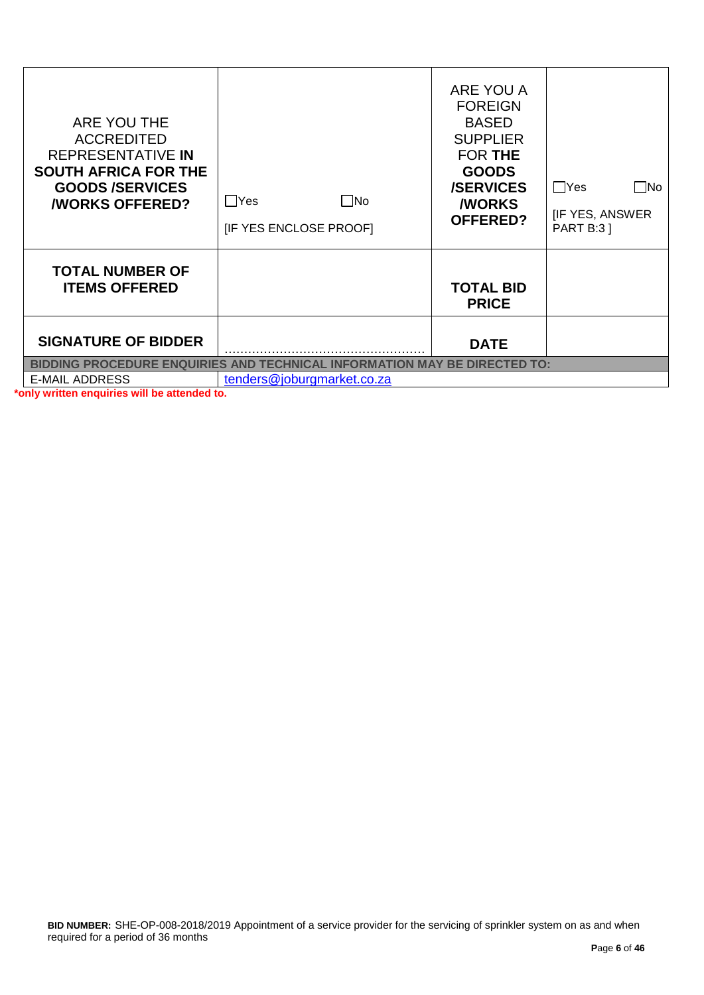| <b>BIDDING PROCEDURE ENQUIRIES AND</b><br><b>INFORMATION MAY BE DIRECTED TO:</b><br><b>TECHNICAL</b><br>tenders@joburgmarket.co.za<br><b>E-MAIL ADDRESS</b> |                                      |                                                                                                                                                                |                                                           |  |
|-------------------------------------------------------------------------------------------------------------------------------------------------------------|--------------------------------------|----------------------------------------------------------------------------------------------------------------------------------------------------------------|-----------------------------------------------------------|--|
| <b>SIGNATURE OF BIDDER</b>                                                                                                                                  |                                      | <b>DATE</b>                                                                                                                                                    |                                                           |  |
| <b>TOTAL NUMBER OF</b><br><b>ITEMS OFFERED</b>                                                                                                              |                                      | <b>TOTAL BID</b><br><b>PRICE</b>                                                                                                                               |                                                           |  |
| ARE YOU THE<br><b>ACCREDITED</b><br>REPRESENTATIVE IN<br><b>SOUTH AFRICA FOR THE</b><br><b>GOODS/SERVICES</b><br><b><i>NORKS OFFERED?</i></b>               | No<br>∐Yes<br>[IF YES ENCLOSE PROOF] | ARE YOU A<br><b>FOREIGN</b><br><b>BASED</b><br><b>SUPPLIER</b><br><b>FOR THE</b><br><b>GOODS</b><br><b>/SERVICES</b><br><b><i>NORKS</i></b><br><b>OFFERED?</b> | Yes<br>- INo<br><b>IF YES, ANSWER</b><br><b>PART B:31</b> |  |

**\*only written enquiries will be attended to.**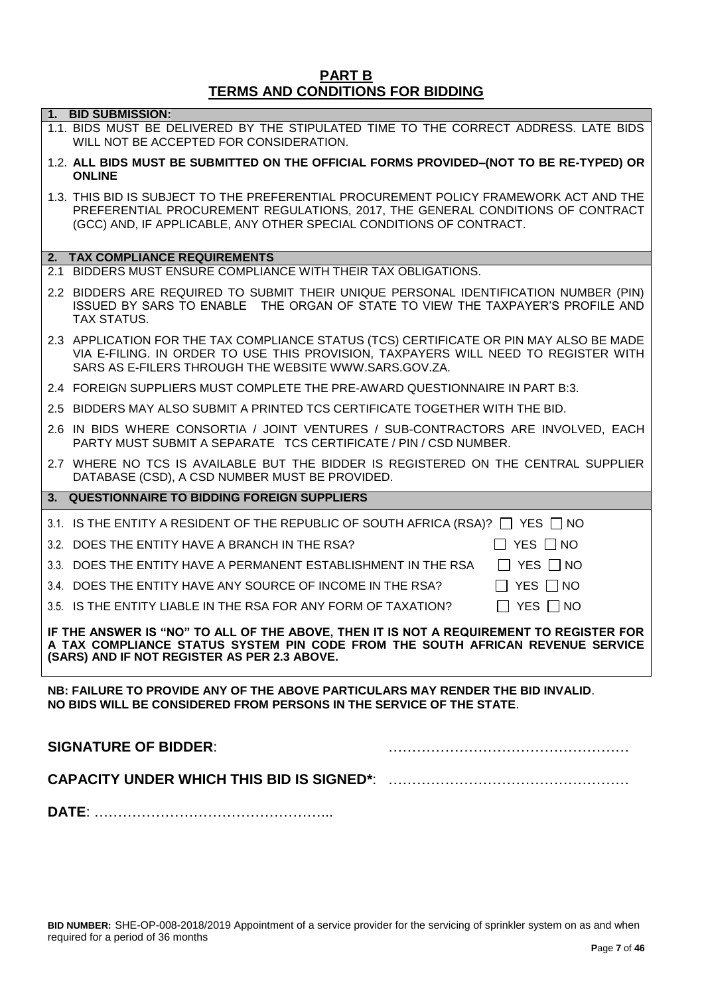#### **PART B TERMS AND CONDITIONS FOR BIDDING**

| 1. BID SUBMISSION:                                                                                                                                                                                                                             |
|------------------------------------------------------------------------------------------------------------------------------------------------------------------------------------------------------------------------------------------------|
| 1.1. BIDS MUST BE DELIVERED BY THE STIPULATED TIME TO THE CORRECT ADDRESS. LATE BIDS<br>WILL NOT BE ACCEPTED FOR CONSIDERATION.                                                                                                                |
| 1.2. ALL BIDS MUST BE SUBMITTED ON THE OFFICIAL FORMS PROVIDED-(NOT TO BE RE-TYPED) OR<br><b>ONLINE</b>                                                                                                                                        |
| 1.3. THIS BID IS SUBJECT TO THE PREFERENTIAL PROCUREMENT POLICY FRAMEWORK ACT AND THE<br>PREFERENTIAL PROCUREMENT REGULATIONS, 2017, THE GENERAL CONDITIONS OF CONTRACT<br>(GCC) AND, IF APPLICABLE, ANY OTHER SPECIAL CONDITIONS OF CONTRACT. |
| 2. TAX COMPLIANCE REQUIREMENTS                                                                                                                                                                                                                 |
| 2.1 BIDDERS MUST ENSURE COMPLIANCE WITH THEIR TAX OBLIGATIONS.                                                                                                                                                                                 |
| 2.2 BIDDERS ARE REQUIRED TO SUBMIT THEIR UNIQUE PERSONAL IDENTIFICATION NUMBER (PIN)<br>ISSUED BY SARS TO ENABLE THE ORGAN OF STATE TO VIEW THE TAXPAYER'S PROFILE AND<br>TAX STATUS.                                                          |
| 2.3 APPLICATION FOR THE TAX COMPLIANCE STATUS (TCS) CERTIFICATE OR PIN MAY ALSO BE MADE<br>VIA E-FILING. IN ORDER TO USE THIS PROVISION, TAXPAYERS WILL NEED TO REGISTER WITH<br>SARS AS E-FILERS THROUGH THE WEBSITE WWW.SARS.GOV.ZA.         |
| 2.4 FOREIGN SUPPLIERS MUST COMPLETE THE PRE-AWARD QUESTIONNAIRE IN PART B:3.                                                                                                                                                                   |
| 2.5 BIDDERS MAY ALSO SUBMIT A PRINTED TCS CERTIFICATE TOGETHER WITH THE BID.                                                                                                                                                                   |
| 2.6 IN BIDS WHERE CONSORTIA / JOINT VENTURES / SUB-CONTRACTORS ARE INVOLVED, EACH<br>PARTY MUST SUBMIT A SEPARATE TCS CERTIFICATE / PIN / CSD NUMBER.                                                                                          |
| 2.7 WHERE NO TCS IS AVAILABLE BUT THE BIDDER IS REGISTERED ON THE CENTRAL SUPPLIER                                                                                                                                                             |
| DATABASE (CSD), A CSD NUMBER MUST BE PROVIDED.                                                                                                                                                                                                 |
| 3. QUESTIONNAIRE TO BIDDING FOREIGN SUPPLIERS                                                                                                                                                                                                  |
|                                                                                                                                                                                                                                                |
| 3.1. IS THE ENTITY A RESIDENT OF THE REPUBLIC OF SOUTH AFRICA (RSA)? $\Box$ YES $\Box$ NO<br>3.2. DOES THE ENTITY HAVE A BRANCH IN THE RSA?<br>$\Box$ YES $\Box$ NO                                                                            |
| 3.3. DOES THE ENTITY HAVE A PERMANENT ESTABLISHMENT IN THE RSA<br>$\Box$ YES $\Box$ NO                                                                                                                                                         |
| 3.4. DOES THE ENTITY HAVE ANY SOURCE OF INCOME IN THE RSA?<br>IIYES IINO                                                                                                                                                                       |
| 3.5. IS THE ENTITY LIABLE IN THE RSA FOR ANY FORM OF TAXATION?<br>YES $\Box$ NO                                                                                                                                                                |
| IF THE ANSWER IS "NO" TO ALL OF THE ABOVE, THEN IT IS NOT A REQUIREMENT TO REGISTER FOR<br>A TAX COMPLIANCE STATUS SYSTEM PIN CODE FROM THE SOUTH AFRICAN REVENUE SERVICE<br>(SARS) AND IF NOT REGISTER AS PER 2.3 ABOVE.                      |
| NB: FAILURE TO PROVIDE ANY OF THE ABOVE PARTICULARS MAY RENDER THE BID INVALID.<br>NO BIDS WILL BE CONSIDERED FROM PERSONS IN THE SERVICE OF THE STATE.                                                                                        |
| <b>SIGNATURE OF BIDDER:</b>                                                                                                                                                                                                                    |
|                                                                                                                                                                                                                                                |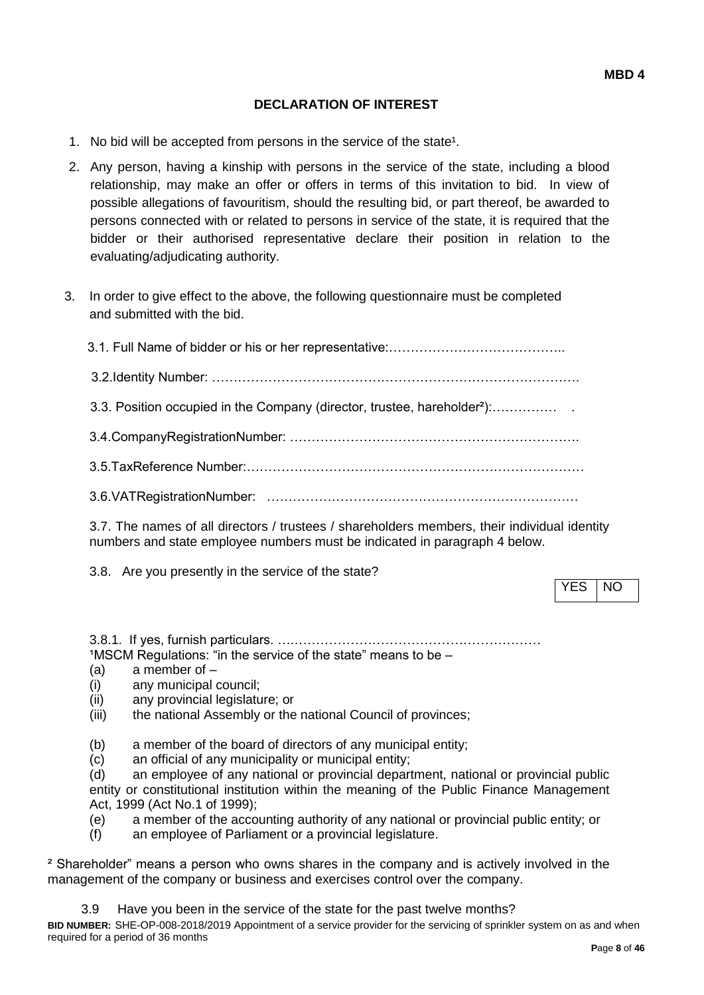# **DECLARATION OF INTEREST**

- 1. No bid will be accepted from persons in the service of the state<sup>1</sup>.
- 2. Any person, having a kinship with persons in the service of the state, including a blood relationship, may make an offer or offers in terms of this invitation to bid. In view of possible allegations of favouritism, should the resulting bid, or part thereof, be awarded to persons connected with or related to persons in service of the state, it is required that the bidder or their authorised representative declare their position in relation to the evaluating/adjudicating authority.
- 3. In order to give effect to the above, the following questionnaire must be completed and submitted with the bid.

| 3.3. Position occupied in the Company (director, trustee, hareholder <sup>2</sup> ): |
|--------------------------------------------------------------------------------------|
|                                                                                      |
|                                                                                      |
|                                                                                      |
|                                                                                      |

3.7. The names of all directors / trustees / shareholders members, their individual identity numbers and state employee numbers must be indicated in paragraph 4 below.

3.8. Are you presently in the service of the state?

YES | NO

3.8.1. If yes, furnish particulars. ….…………………………………………………  $1$ MSCM Regulations: "in the service of the state" means to be  $-$ 

- (a) a member of –
- (i) any municipal council;
- (ii) any provincial legislature; or
- (iii) the national Assembly or the national Council of provinces;
- (b) a member of the board of directors of any municipal entity;
- (c) an official of any municipality or municipal entity;

(d) an employee of any national or provincial department, national or provincial public entity or constitutional institution within the meaning of the Public Finance Management Act, 1999 (Act No.1 of 1999);

- (e) a member of the accounting authority of any national or provincial public entity; or
- (f) an employee of Parliament or a provincial legislature.

² Shareholder" means a person who owns shares in the company and is actively involved in the management of the company or business and exercises control over the company.

3.9 Have you been in the service of the state for the past twelve months?

**BID NUMBER:** SHE-OP-008-2018/2019 Appointment of a service provider for the servicing of sprinkler system on as and when required for a period of 36 months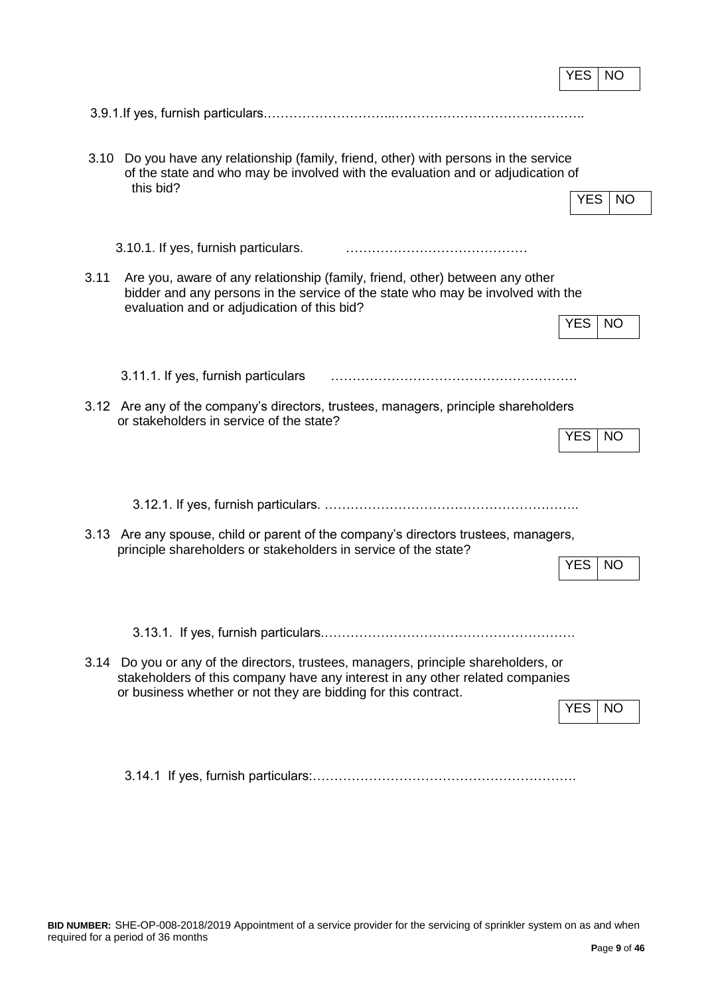|                                                                                                                                                                                                                                        | YES        | <b>NO</b> |
|----------------------------------------------------------------------------------------------------------------------------------------------------------------------------------------------------------------------------------------|------------|-----------|
|                                                                                                                                                                                                                                        |            |           |
| 3.10<br>Do you have any relationship (family, friend, other) with persons in the service<br>of the state and who may be involved with the evaluation and or adjudication of<br>this bid?                                               | <b>YES</b> | <b>NO</b> |
| 3.10.1. If yes, furnish particulars.                                                                                                                                                                                                   |            |           |
| 3.11<br>Are you, aware of any relationship (family, friend, other) between any other<br>bidder and any persons in the service of the state who may be involved with the<br>evaluation and or adjudication of this bid?                 | <b>YES</b> | <b>NO</b> |
| 3.11.1. If yes, furnish particulars                                                                                                                                                                                                    |            |           |
| 3.12 Are any of the company's directors, trustees, managers, principle shareholders<br>or stakeholders in service of the state?                                                                                                        | YES        | <b>NO</b> |
|                                                                                                                                                                                                                                        |            |           |
| Are any spouse, child or parent of the company's directors trustees, managers,<br>3.13<br>principle shareholders or stakeholders in service of the state?                                                                              | <b>YES</b> | NO.       |
|                                                                                                                                                                                                                                        |            |           |
| 3.14 Do you or any of the directors, trustees, managers, principle shareholders, or<br>stakeholders of this company have any interest in any other related companies<br>or business whether or not they are bidding for this contract. | YES.       | -NO       |
|                                                                                                                                                                                                                                        |            |           |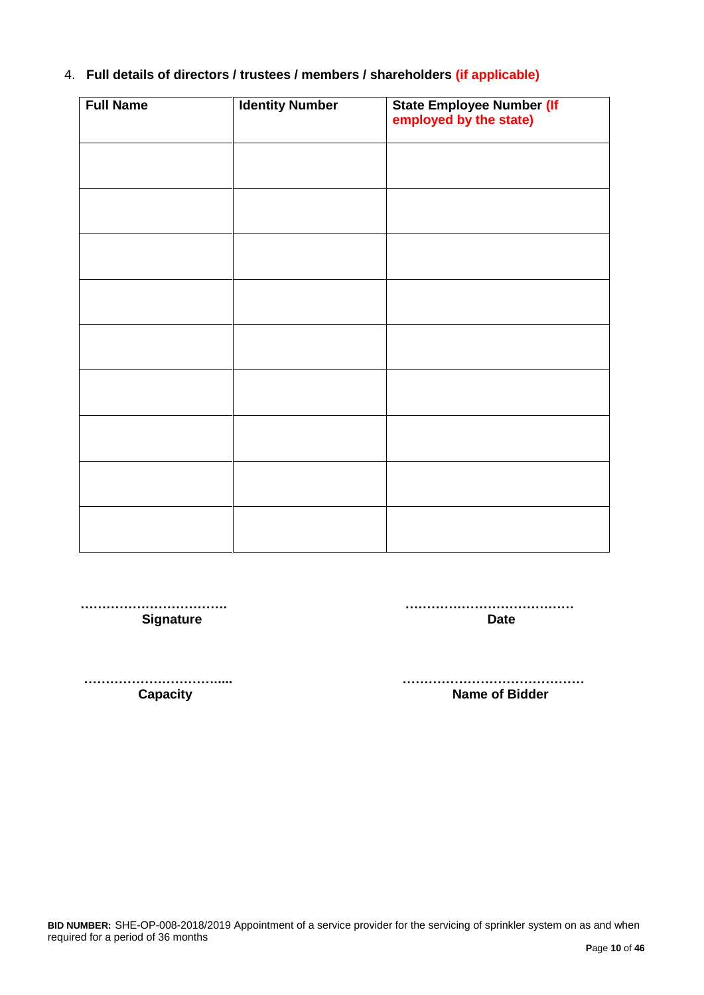# 4. **Full details of directors / trustees / members / shareholders (if applicable)**

| <b>Full Name</b> | <b>Identity Number</b> | State Employee Number (If<br>employed by the state) |
|------------------|------------------------|-----------------------------------------------------|
|                  |                        |                                                     |
|                  |                        |                                                     |
|                  |                        |                                                     |
|                  |                        |                                                     |
|                  |                        |                                                     |
|                  |                        |                                                     |
|                  |                        |                                                     |
|                  |                        |                                                     |
|                  |                        |                                                     |

 **……………………………. ………………………………… Signature Date** 

 **…………………………..... …………………………………… Capacity Capacity Capacity Capacity Name of Bidder**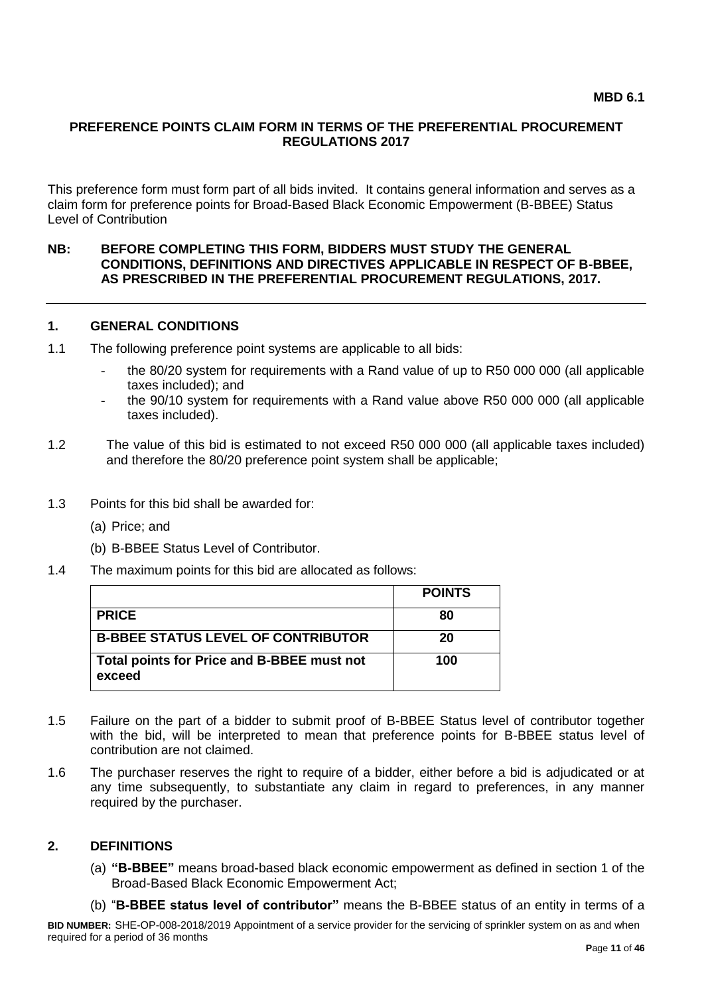#### **PREFERENCE POINTS CLAIM FORM IN TERMS OF THE PREFERENTIAL PROCUREMENT REGULATIONS 2017**

This preference form must form part of all bids invited. It contains general information and serves as a claim form for preference points for Broad-Based Black Economic Empowerment (B-BBEE) Status Level of Contribution

#### **NB: BEFORE COMPLETING THIS FORM, BIDDERS MUST STUDY THE GENERAL CONDITIONS, DEFINITIONS AND DIRECTIVES APPLICABLE IN RESPECT OF B-BBEE, AS PRESCRIBED IN THE PREFERENTIAL PROCUREMENT REGULATIONS, 2017.**

#### **1. GENERAL CONDITIONS**

- 1.1 The following preference point systems are applicable to all bids:
	- the 80/20 system for requirements with a Rand value of up to R50 000 000 (all applicable taxes included); and
	- the 90/10 system for requirements with a Rand value above R50 000 000 (all applicable taxes included).
- 1.2 The value of this bid is estimated to not exceed R50 000 000 (all applicable taxes included) and therefore the 80/20 preference point system shall be applicable;
- 1.3 Points for this bid shall be awarded for:
	- (a) Price; and
	- (b) B-BBEE Status Level of Contributor.
- 1.4 The maximum points for this bid are allocated as follows:

|                                                      | <b>POINTS</b> |
|------------------------------------------------------|---------------|
| <b>PRICE</b>                                         | 80            |
| <b>B-BBEE STATUS LEVEL OF CONTRIBUTOR</b>            | 20            |
| Total points for Price and B-BBEE must not<br>exceed | 100           |

- 1.5 Failure on the part of a bidder to submit proof of B-BBEE Status level of contributor together with the bid, will be interpreted to mean that preference points for B-BBEE status level of contribution are not claimed.
- 1.6 The purchaser reserves the right to require of a bidder, either before a bid is adjudicated or at any time subsequently, to substantiate any claim in regard to preferences, in any manner required by the purchaser.

#### **2. DEFINITIONS**

- (a) **"B-BBEE"** means broad-based black economic empowerment as defined in section 1 of the Broad-Based Black Economic Empowerment Act;
- (b) "**B-BBEE status level of contributor"** means the B-BBEE status of an entity in terms of a

**BID NUMBER:** SHE-OP-008-2018/2019 Appointment of a service provider for the servicing of sprinkler system on as and when required for a period of 36 months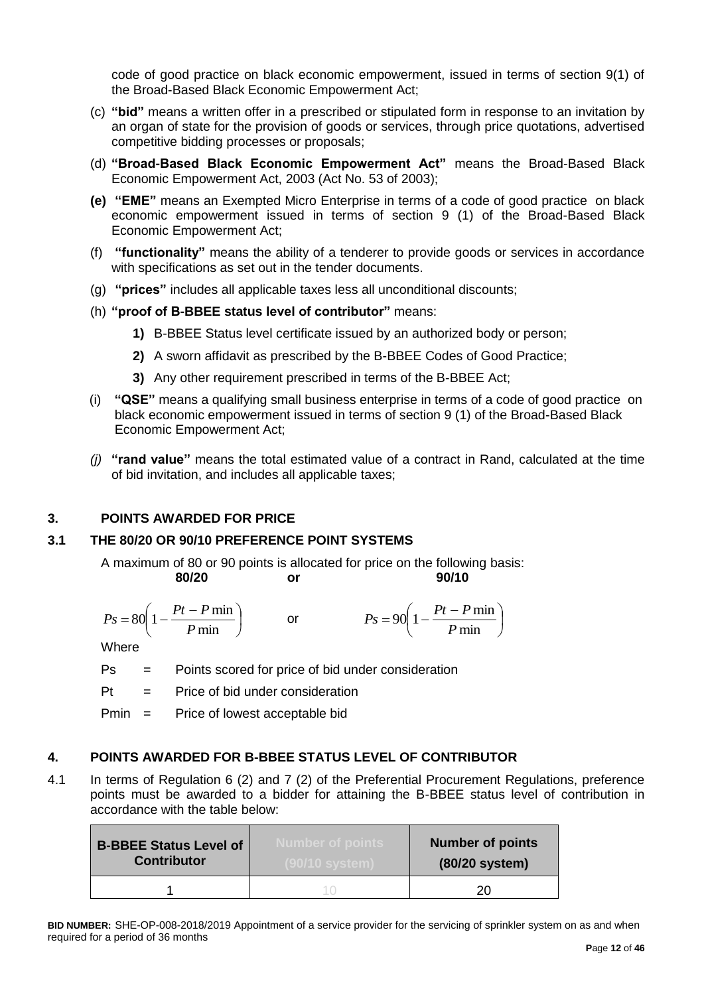code of good practice on black economic empowerment, issued in terms of section 9(1) of the Broad-Based Black Economic Empowerment Act;

- (c) **"bid"** means a written offer in a prescribed or stipulated form in response to an invitation by an organ of state for the provision of goods or services, through price quotations, advertised competitive bidding processes or proposals;
- (d) **"Broad-Based Black Economic Empowerment Act"** means the Broad-Based Black Economic Empowerment Act, 2003 (Act No. 53 of 2003);
- **(e) "EME"** means an Exempted Micro Enterprise in terms of a code of good practice on black economic empowerment issued in terms of section 9 (1) of the Broad-Based Black Economic Empowerment Act;
- (f) **"functionality"** means the ability of a tenderer to provide goods or services in accordance with specifications as set out in the tender documents.
- (g) **"prices"** includes all applicable taxes less all unconditional discounts;
- (h) **"proof of B-BBEE status level of contributor"** means:
	- **1)** B-BBEE Status level certificate issued by an authorized body or person;
	- **2)** A sworn affidavit as prescribed by the B-BBEE Codes of Good Practice;
	- **3)** Any other requirement prescribed in terms of the B-BBEE Act;
- (i) **"QSE"** means a qualifying small business enterprise in terms of a code of good practice on black economic empowerment issued in terms of section 9 (1) of the Broad-Based Black Economic Empowerment Act;
- *(j)* **"rand value"** means the total estimated value of a contract in Rand, calculated at the time of bid invitation, and includes all applicable taxes;

# **3. POINTS AWARDED FOR PRICE**

# **3.1 THE 80/20 OR 90/10 PREFERENCE POINT SYSTEMS**

A maximum of 80 or 90 points is allocated for price on the following basis: **80/20 or 90/10**

$$
Ps = 80\left(1 - \frac{Pt - P \min P}{ \min}\right) \qquad \text{or} \qquad \qquad Ps = 90\left(1 - \frac{Pt - P \min P}{ \min}\right)
$$

**Where** 

- Ps = Points scored for price of bid under consideration
- $Pt =$  Price of bid under consideration

Pmin = Price of lowest acceptable bid

# **4. POINTS AWARDED FOR B-BBEE STATUS LEVEL OF CONTRIBUTOR**

4.1 In terms of Regulation 6 (2) and 7 (2) of the Preferential Procurement Regulations, preference points must be awarded to a bidder for attaining the B-BBEE status level of contribution in accordance with the table below:

| <b>B-BBEE Status Level of</b><br><b>Contributor</b> | Number of points. | <b>Number of points</b><br>(80/20 system) |
|-----------------------------------------------------|-------------------|-------------------------------------------|
|                                                     |                   |                                           |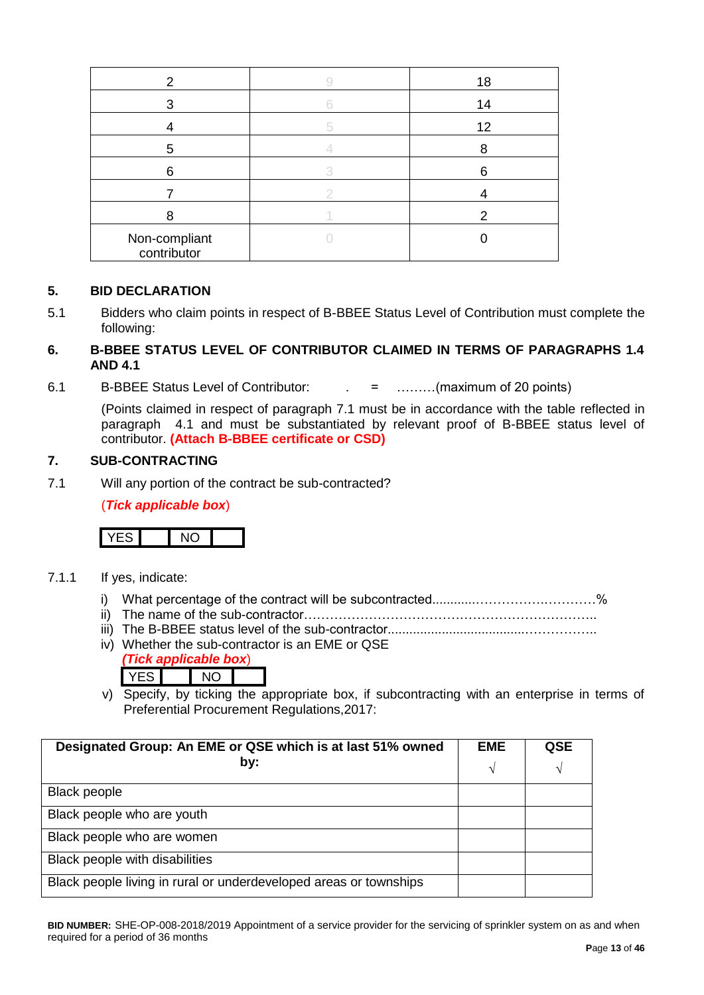| 2                            | 18 |
|------------------------------|----|
| 3                            | 14 |
|                              | 12 |
| 5                            |    |
| 6                            | 6  |
|                              |    |
| я                            |    |
| Non-compliant<br>contributor |    |

#### **5. BID DECLARATION**

5.1 Bidders who claim points in respect of B-BBEE Status Level of Contribution must complete the following:

### **6. B-BBEE STATUS LEVEL OF CONTRIBUTOR CLAIMED IN TERMS OF PARAGRAPHS 1.4 AND 4.1**

6.1 B-BBEE Status Level of Contributor: . = ………(maximum of 20 points)

(Points claimed in respect of paragraph 7.1 must be in accordance with the table reflected in paragraph 4.1 and must be substantiated by relevant proof of B-BBEE status level of contributor. **(Attach B-BBEE certificate or CSD)**

#### **7. SUB-CONTRACTING**

7.1 Will any portion of the contract be sub-contracted?

(*Tick applicable box*)



- 7.1.1 If yes, indicate:
	- i) What percentage of the contract will be subcontracted............…………….…………%
	- ii) The name of the sub-contractor…………………………………………………………..
	- iii) The B-BBEE status level of the sub-contractor......................................……………..
	- iv) Whether the sub-contractor is an EME or QSE *(Tick applicable box*)
		- YES NO
	- v) Specify, by ticking the appropriate box, if subcontracting with an enterprise in terms of Preferential Procurement Regulations,2017:

| Designated Group: An EME or QSE which is at last 51% owned<br>by: | <b>EME</b> | <b>QSE</b> |
|-------------------------------------------------------------------|------------|------------|
|                                                                   | N          | N          |
| <b>Black people</b>                                               |            |            |
| Black people who are youth                                        |            |            |
| Black people who are women                                        |            |            |
| Black people with disabilities                                    |            |            |
| Black people living in rural or underdeveloped areas or townships |            |            |

**BID NUMBER:** SHE-OP-008-2018/2019 Appointment of a service provider for the servicing of sprinkler system on as and when required for a period of 36 months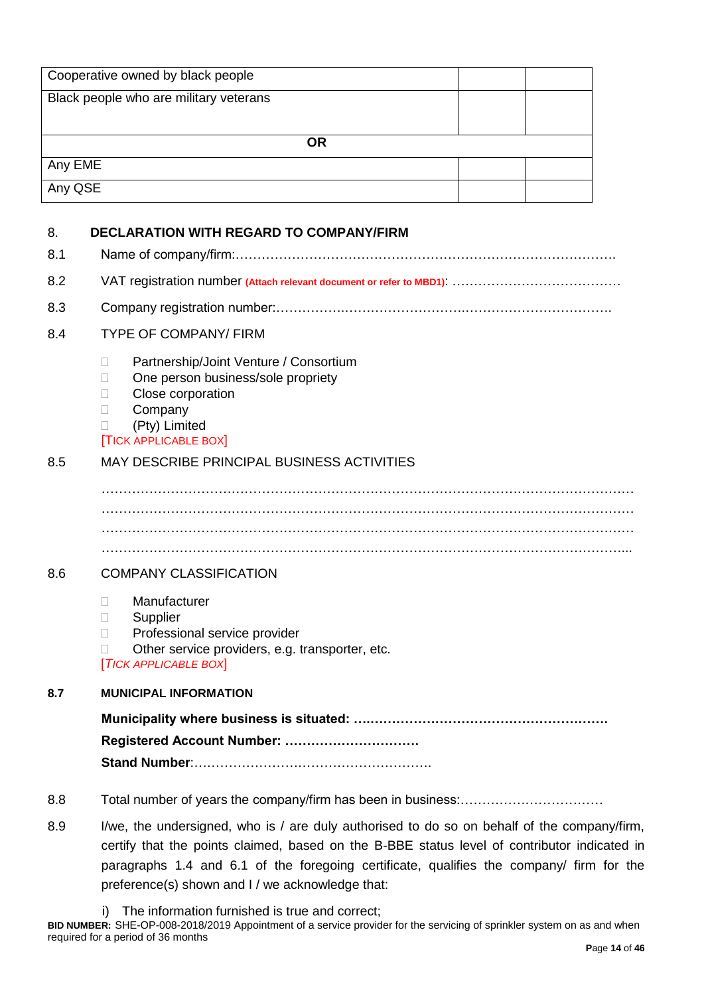|                    | Cooperative owned by black people                                                                                                                                                                                                                                                       |
|--------------------|-----------------------------------------------------------------------------------------------------------------------------------------------------------------------------------------------------------------------------------------------------------------------------------------|
|                    | Black people who are military veterans                                                                                                                                                                                                                                                  |
|                    |                                                                                                                                                                                                                                                                                         |
|                    | <b>OR</b>                                                                                                                                                                                                                                                                               |
| Any EME<br>Any QSE |                                                                                                                                                                                                                                                                                         |
|                    |                                                                                                                                                                                                                                                                                         |
| 8.                 | <b>DECLARATION WITH REGARD TO COMPANY/FIRM</b>                                                                                                                                                                                                                                          |
| 8.1                |                                                                                                                                                                                                                                                                                         |
| 8.2                |                                                                                                                                                                                                                                                                                         |
| 8.3                |                                                                                                                                                                                                                                                                                         |
| 8.4                | <b>TYPE OF COMPANY/ FIRM</b>                                                                                                                                                                                                                                                            |
|                    | Partnership/Joint Venture / Consortium<br>П<br>One person business/sole propriety<br>$\mathbf{L}$<br>Close corporation<br>$\mathbb{R}^n$<br>Company<br>Н<br>(Pty) Limited<br><b>TICK APPLICABLE BOX</b>                                                                                 |
| 8.5                | <b>MAY DESCRIBE PRINCIPAL BUSINESS ACTIVITIES</b>                                                                                                                                                                                                                                       |
|                    |                                                                                                                                                                                                                                                                                         |
| 8.6                | <b>COMPANY CLASSIFICATION</b>                                                                                                                                                                                                                                                           |
|                    | Manufacturer<br>$\Box$<br>Supplier<br>Ш<br>Professional service provider<br>$\mathbf{L}$<br>Other service providers, e.g. transporter, etc.<br>$\Box$<br><b>TICK APPLICABLE BOX</b>                                                                                                     |
| 8.7                | <b>MUNICIPAL INFORMATION</b>                                                                                                                                                                                                                                                            |
|                    |                                                                                                                                                                                                                                                                                         |
|                    | Registered Account Number:                                                                                                                                                                                                                                                              |
|                    |                                                                                                                                                                                                                                                                                         |
| 8.8                |                                                                                                                                                                                                                                                                                         |
| 8.9                | I/we, the undersigned, who is / are duly authorised to do so on behalf of the company/firm,<br>certify that the points claimed, based on the B-BBE status level of contributor indicated in<br>paragraphs 1.4 and 6.1 of the foregoing certificate, qualifies the company/ firm for the |

preference(s) shown and I / we acknowledge that: i) The information furnished is true and correct;

**BID NUMBER:** SHE-OP-008-2018/2019 Appointment of a service provider for the servicing of sprinkler system on as and when required for a period of 36 months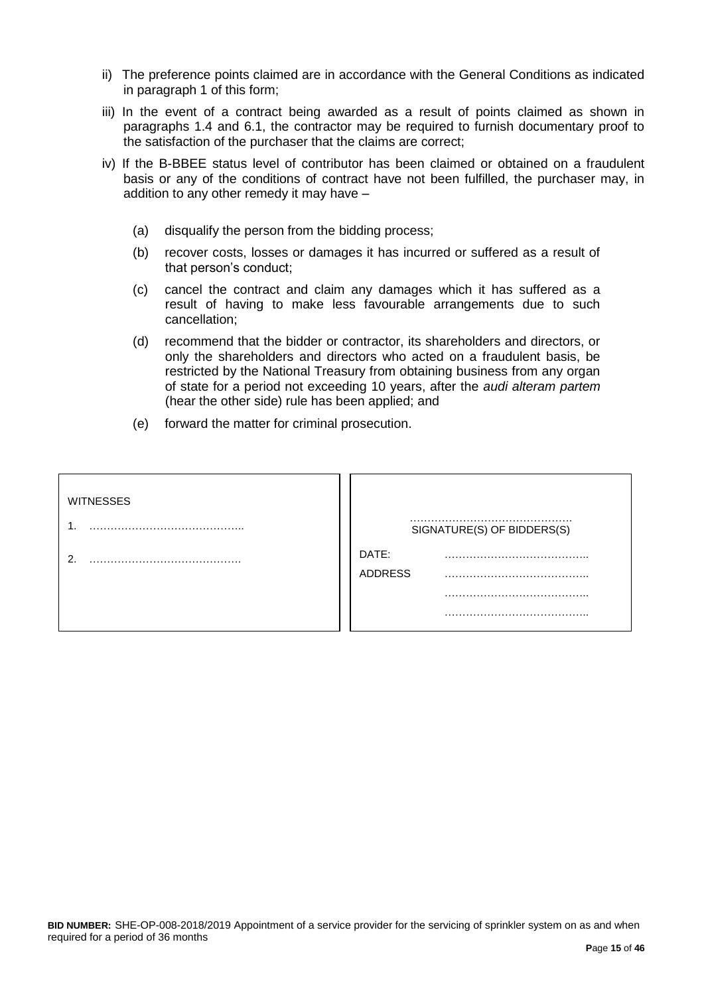- ii) The preference points claimed are in accordance with the General Conditions as indicated in paragraph 1 of this form;
- iii) In the event of a contract being awarded as a result of points claimed as shown in paragraphs 1.4 and 6.1, the contractor may be required to furnish documentary proof to the satisfaction of the purchaser that the claims are correct;
- iv) If the B-BBEE status level of contributor has been claimed or obtained on a fraudulent basis or any of the conditions of contract have not been fulfilled, the purchaser may, in addition to any other remedy it may have –
	- (a) disqualify the person from the bidding process;
	- (b) recover costs, losses or damages it has incurred or suffered as a result of that person's conduct;
	- (c) cancel the contract and claim any damages which it has suffered as a result of having to make less favourable arrangements due to such cancellation;
	- (d) recommend that the bidder or contractor, its shareholders and directors, or only the shareholders and directors who acted on a fraudulent basis, be restricted by the National Treasury from obtaining business from any organ of state for a period not exceeding 10 years, after the *audi alteram partem* (hear the other side) rule has been applied; and
	- (e) forward the matter for criminal prosecution.

| <b>WITNESSES</b> |                         |                            |
|------------------|-------------------------|----------------------------|
|                  |                         | SIGNATURE(S) OF BIDDERS(S) |
| ∍                | DATE:<br><b>ADDRESS</b> |                            |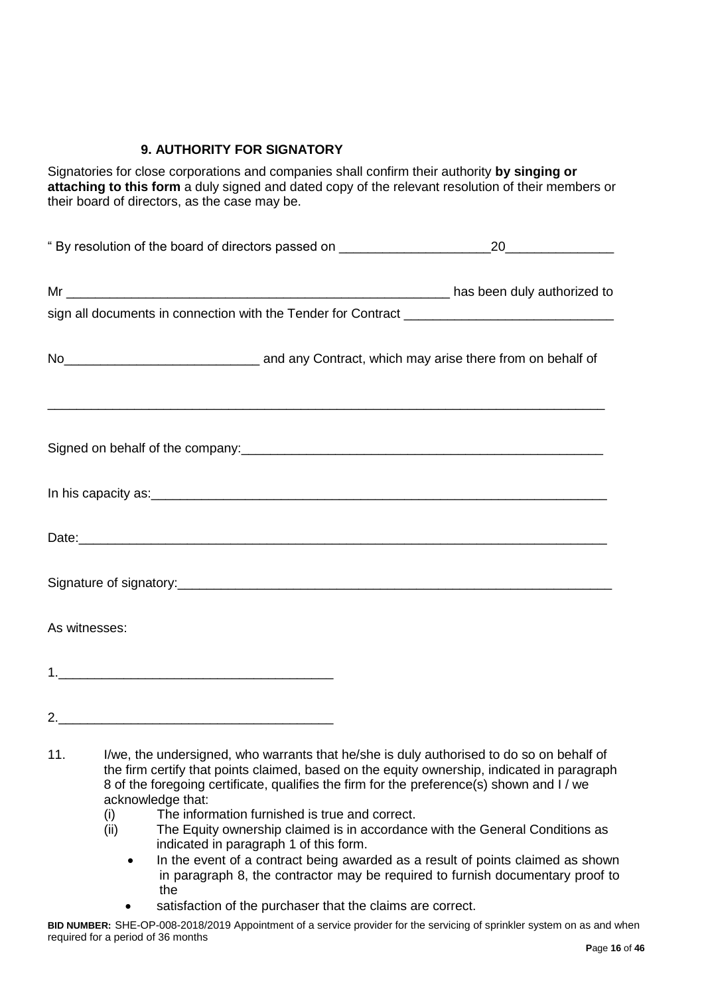# **9. AUTHORITY FOR SIGNATORY**

Signatories for close corporations and companies shall confirm their authority **by singing or attaching to this form** a duly signed and dated copy of the relevant resolution of their members or their board of directors, as the case may be.

| No <sub>__________________________________</sub> and any Contract, which may arise there from on behalf of |  |  |
|------------------------------------------------------------------------------------------------------------|--|--|
| Signed on behalf of the company:<br><u> Signed on behalf of the company:</u>                               |  |  |
|                                                                                                            |  |  |
|                                                                                                            |  |  |
|                                                                                                            |  |  |
| As witnesses:                                                                                              |  |  |
|                                                                                                            |  |  |
|                                                                                                            |  |  |

- (i) The information furnished is true and correct.
- (ii) The Equity ownership claimed is in accordance with the General Conditions as indicated in paragraph 1 of this form.
	- In the event of a contract being awarded as a result of points claimed as shown in paragraph 8, the contractor may be required to furnish documentary proof to the
	- satisfaction of the purchaser that the claims are correct.

<sup>11.</sup> I/we, the undersigned, who warrants that he/she is duly authorised to do so on behalf of the firm certify that points claimed, based on the equity ownership, indicated in paragraph 8 of the foregoing certificate, qualifies the firm for the preference(s) shown and I / we acknowledge that:

**BID NUMBER:** SHE-OP-008-2018/2019 Appointment of a service provider for the servicing of sprinkler system on as and when required for a period of 36 months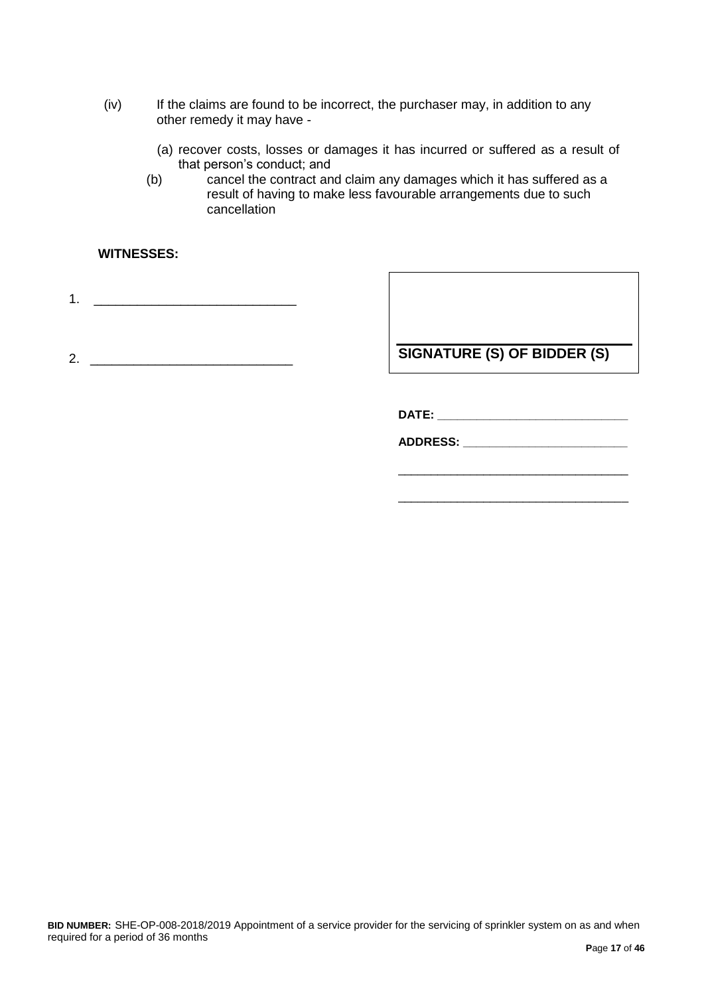- (iv) If the claims are found to be incorrect, the purchaser may, in addition to any other remedy it may have -
	- (a) recover costs, losses or damages it has incurred or suffered as a result of that person's conduct; and
	- (b) cancel the contract and claim any damages which it has suffered as a result of having to make less favourable arrangements due to such cancellation

#### **WITNESSES:**

1. \_\_\_\_\_\_\_\_\_\_\_\_\_\_\_\_\_\_\_\_\_\_\_\_\_\_\_\_

2. \_\_\_\_\_\_\_\_\_\_\_\_\_\_\_\_\_\_\_\_\_\_\_\_\_\_\_\_

**SIGNATURE (S) OF BIDDER (S)**

**DATE: \_\_\_\_\_\_\_\_\_\_\_\_\_\_\_\_\_\_\_\_\_\_\_\_\_\_\_\_\_**

**ADDRESS: \_\_\_\_\_\_\_\_\_\_\_\_\_\_\_\_\_\_\_\_\_\_\_\_\_**

\_\_\_\_\_\_\_\_\_\_\_\_\_\_\_\_\_\_\_\_\_\_\_\_\_\_\_\_\_\_\_\_\_\_\_

\_\_\_\_\_\_\_\_\_\_\_\_\_\_\_\_\_\_\_\_\_\_\_\_\_\_\_\_\_\_\_\_\_\_\_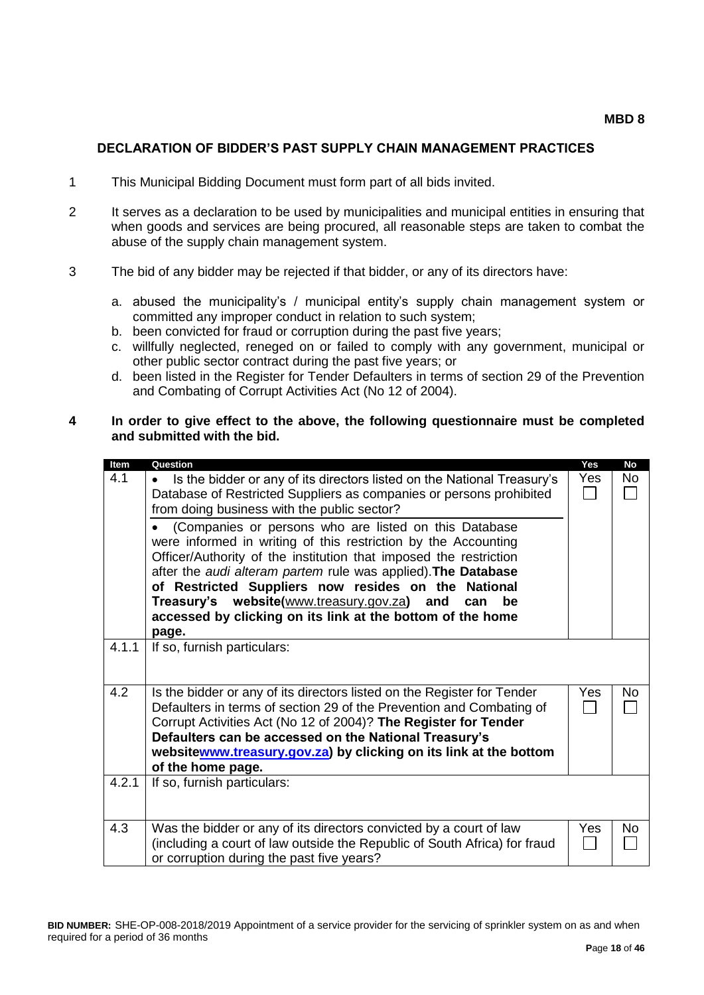#### **DECLARATION OF BIDDER'S PAST SUPPLY CHAIN MANAGEMENT PRACTICES**

- 1 This Municipal Bidding Document must form part of all bids invited.
- 2 It serves as a declaration to be used by municipalities and municipal entities in ensuring that when goods and services are being procured, all reasonable steps are taken to combat the abuse of the supply chain management system.
- 3 The bid of any bidder may be rejected if that bidder, or any of its directors have:
	- a. abused the municipality's / municipal entity's supply chain management system or committed any improper conduct in relation to such system;
	- b. been convicted for fraud or corruption during the past five years;
	- c. willfully neglected, reneged on or failed to comply with any government, municipal or other public sector contract during the past five years; or
	- d. been listed in the Register for Tender Defaulters in terms of section 29 of the Prevention and Combating of Corrupt Activities Act (No 12 of 2004).

#### **4 In order to give effect to the above, the following questionnaire must be completed and submitted with the bid.**

| Item  | Question                                                                                                                                        | Yes        | <b>No</b> |
|-------|-------------------------------------------------------------------------------------------------------------------------------------------------|------------|-----------|
| 4.1   | Is the bidder or any of its directors listed on the National Treasury's                                                                         | Yes        | <b>No</b> |
|       | Database of Restricted Suppliers as companies or persons prohibited                                                                             |            |           |
|       | from doing business with the public sector?                                                                                                     |            |           |
|       | (Companies or persons who are listed on this Database                                                                                           |            |           |
|       | were informed in writing of this restriction by the Accounting<br>Officer/Authority of the institution that imposed the restriction             |            |           |
|       | after the audi alteram partem rule was applied). The Database                                                                                   |            |           |
|       | of Restricted Suppliers now resides on the National                                                                                             |            |           |
|       | Treasury's website(www.treasury.gov.za) and<br>can<br>be                                                                                        |            |           |
|       | accessed by clicking on its link at the bottom of the home                                                                                      |            |           |
|       | page.                                                                                                                                           |            |           |
| 4.1.1 | If so, furnish particulars:                                                                                                                     |            |           |
|       |                                                                                                                                                 |            |           |
| 4.2   |                                                                                                                                                 | Yes        | No        |
|       | Is the bidder or any of its directors listed on the Register for Tender<br>Defaulters in terms of section 29 of the Prevention and Combating of |            |           |
|       | Corrupt Activities Act (No 12 of 2004)? The Register for Tender                                                                                 |            |           |
|       | Defaulters can be accessed on the National Treasury's                                                                                           |            |           |
|       | websitewww.treasury.gov.za) by clicking on its link at the bottom                                                                               |            |           |
|       | of the home page.                                                                                                                               |            |           |
| 4.2.1 | If so, furnish particulars:                                                                                                                     |            |           |
|       |                                                                                                                                                 |            |           |
|       |                                                                                                                                                 |            |           |
| 4.3   | Was the bidder or any of its directors convicted by a court of law                                                                              | <b>Yes</b> | <b>No</b> |
|       | (including a court of law outside the Republic of South Africa) for fraud                                                                       |            |           |
|       | or corruption during the past five years?                                                                                                       |            |           |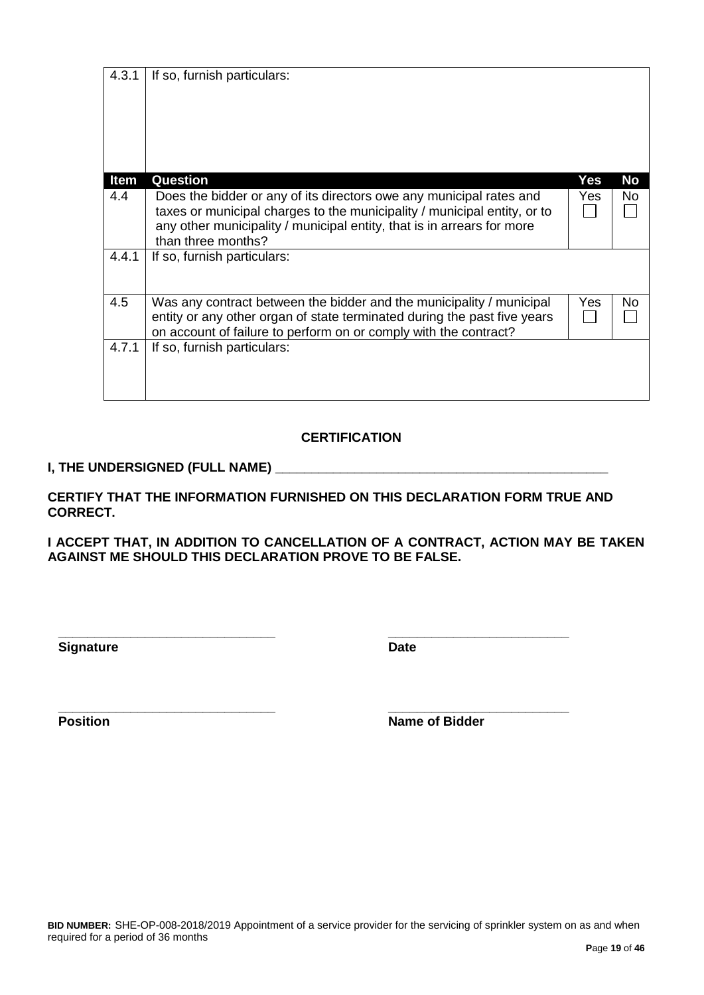| <b>Item</b> | <b>Question</b>                                                                                                                                                                                                                                 | Yes        | No |
|-------------|-------------------------------------------------------------------------------------------------------------------------------------------------------------------------------------------------------------------------------------------------|------------|----|
| 4.4         | Does the bidder or any of its directors owe any municipal rates and<br>taxes or municipal charges to the municipality / municipal entity, or to<br>any other municipality / municipal entity, that is in arrears for more<br>than three months? | <b>Yes</b> | No |
| 4.4.1       | If so, furnish particulars:                                                                                                                                                                                                                     |            |    |
| 4.5         | Was any contract between the bidder and the municipality / municipal<br>entity or any other organ of state terminated during the past five years<br>on account of failure to perform on or comply with the contract?                            | Yes        | No |
| 4.7.1       | If so, furnish particulars:                                                                                                                                                                                                                     |            |    |

# **CERTIFICATION**

# **I, THE UNDERSIGNED (FULL NAME) \_\_\_\_\_\_\_\_\_\_\_\_\_\_\_\_\_\_\_\_\_\_\_\_\_\_\_\_\_\_\_\_\_\_\_\_\_\_\_\_\_\_\_\_\_\_**

4.3.1 If so, furnish particulars:

**CERTIFY THAT THE INFORMATION FURNISHED ON THIS DECLARATION FORM TRUE AND CORRECT.**

**I ACCEPT THAT, IN ADDITION TO CANCELLATION OF A CONTRACT, ACTION MAY BE TAKEN AGAINST ME SHOULD THIS DECLARATION PROVE TO BE FALSE.**

**Signature Date** 

**\_\_\_\_\_\_\_\_\_\_\_\_\_\_\_\_\_\_\_\_\_\_\_\_\_\_\_\_\_\_ \_\_\_\_\_\_\_\_\_\_\_\_\_\_\_\_\_\_\_\_\_\_\_\_\_**

**\_\_\_\_\_\_\_\_\_\_\_\_\_\_\_\_\_\_\_\_\_\_\_\_\_\_\_\_\_\_ \_\_\_\_\_\_\_\_\_\_\_\_\_\_\_\_\_\_\_\_\_\_\_\_\_ Position Name of Bidder**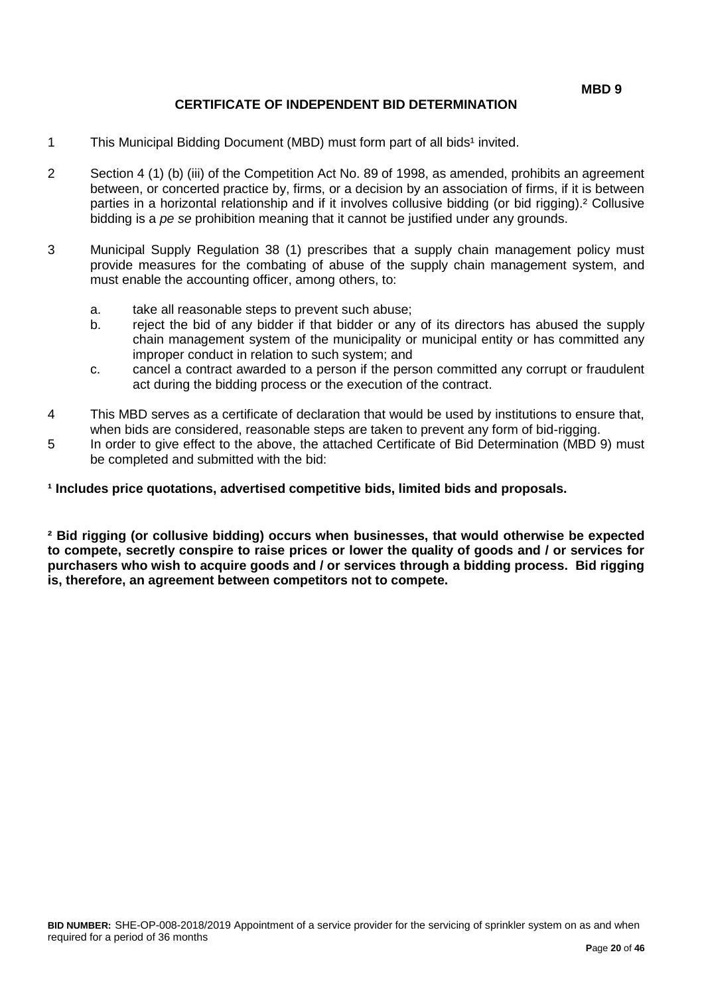### **CERTIFICATE OF INDEPENDENT BID DETERMINATION**

- 1 This Municipal Bidding Document (MBD) must form part of all bids<sup>1</sup> invited.
- 2 Section 4 (1) (b) (iii) of the Competition Act No. 89 of 1998, as amended, prohibits an agreement between, or concerted practice by, firms, or a decision by an association of firms, if it is between parties in a horizontal relationship and if it involves collusive bidding (or bid rigging).² Collusive bidding is a *pe se* prohibition meaning that it cannot be justified under any grounds.
- 3 Municipal Supply Regulation 38 (1) prescribes that a supply chain management policy must provide measures for the combating of abuse of the supply chain management system, and must enable the accounting officer, among others, to:
	- a. take all reasonable steps to prevent such abuse;
	- b. reject the bid of any bidder if that bidder or any of its directors has abused the supply chain management system of the municipality or municipal entity or has committed any improper conduct in relation to such system; and
	- c. cancel a contract awarded to a person if the person committed any corrupt or fraudulent act during the bidding process or the execution of the contract.
- 4 This MBD serves as a certificate of declaration that would be used by institutions to ensure that, when bids are considered, reasonable steps are taken to prevent any form of bid-rigging.
- 5 In order to give effect to the above, the attached Certificate of Bid Determination (MBD 9) must be completed and submitted with the bid:

#### **¹ Includes price quotations, advertised competitive bids, limited bids and proposals.**

**² Bid rigging (or collusive bidding) occurs when businesses, that would otherwise be expected to compete, secretly conspire to raise prices or lower the quality of goods and / or services for purchasers who wish to acquire goods and / or services through a bidding process. Bid rigging is, therefore, an agreement between competitors not to compete.**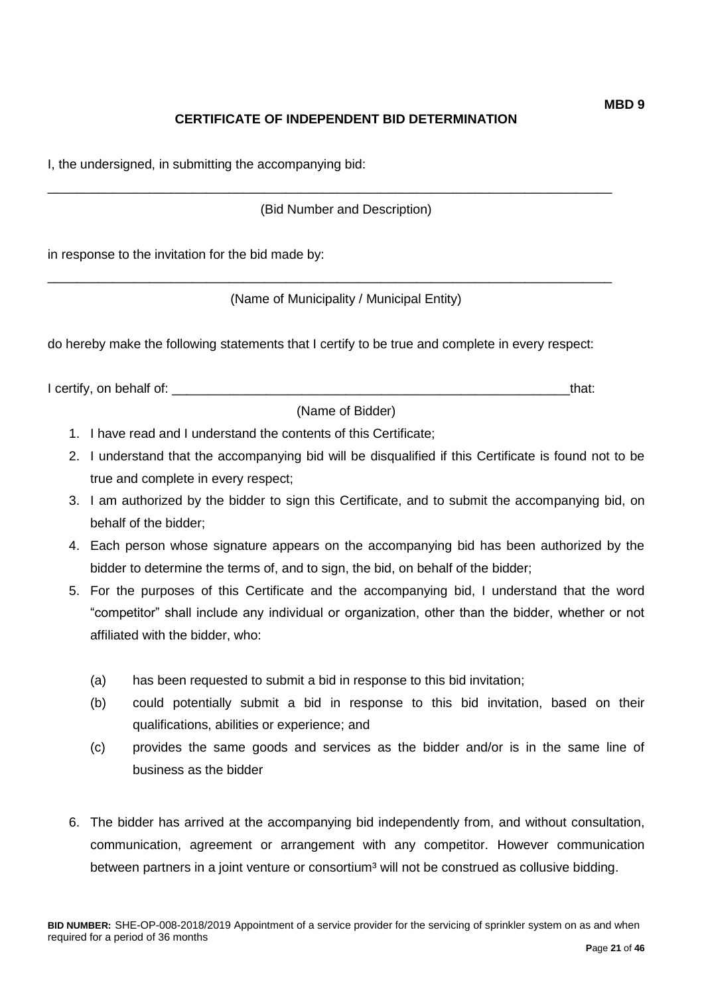# **CERTIFICATE OF INDEPENDENT BID DETERMINATION**

I, the undersigned, in submitting the accompanying bid:

(Bid Number and Description)

\_\_\_\_\_\_\_\_\_\_\_\_\_\_\_\_\_\_\_\_\_\_\_\_\_\_\_\_\_\_\_\_\_\_\_\_\_\_\_\_\_\_\_\_\_\_\_\_\_\_\_\_\_\_\_\_\_\_\_\_\_\_\_\_\_\_\_\_\_\_\_\_\_\_\_\_\_\_

\_\_\_\_\_\_\_\_\_\_\_\_\_\_\_\_\_\_\_\_\_\_\_\_\_\_\_\_\_\_\_\_\_\_\_\_\_\_\_\_\_\_\_\_\_\_\_\_\_\_\_\_\_\_\_\_\_\_\_\_\_\_\_\_\_\_\_\_\_\_\_\_\_\_\_\_\_\_

in response to the invitation for the bid made by:

(Name of Municipality / Municipal Entity)

do hereby make the following statements that I certify to be true and complete in every respect:

I certify, on behalf of: the state of the state of the state of the state of the state of the state of the stat

(Name of Bidder)

- 1. I have read and I understand the contents of this Certificate;
- 2. I understand that the accompanying bid will be disqualified if this Certificate is found not to be true and complete in every respect;
- 3. I am authorized by the bidder to sign this Certificate, and to submit the accompanying bid, on behalf of the bidder;
- 4. Each person whose signature appears on the accompanying bid has been authorized by the bidder to determine the terms of, and to sign, the bid, on behalf of the bidder;
- 5. For the purposes of this Certificate and the accompanying bid, I understand that the word "competitor" shall include any individual or organization, other than the bidder, whether or not affiliated with the bidder, who:
	- (a) has been requested to submit a bid in response to this bid invitation;
	- (b) could potentially submit a bid in response to this bid invitation, based on their qualifications, abilities or experience; and
	- (c) provides the same goods and services as the bidder and/or is in the same line of business as the bidder
- 6. The bidder has arrived at the accompanying bid independently from, and without consultation, communication, agreement or arrangement with any competitor. However communication between partners in a joint venture or consortium<sup>3</sup> will not be construed as collusive bidding.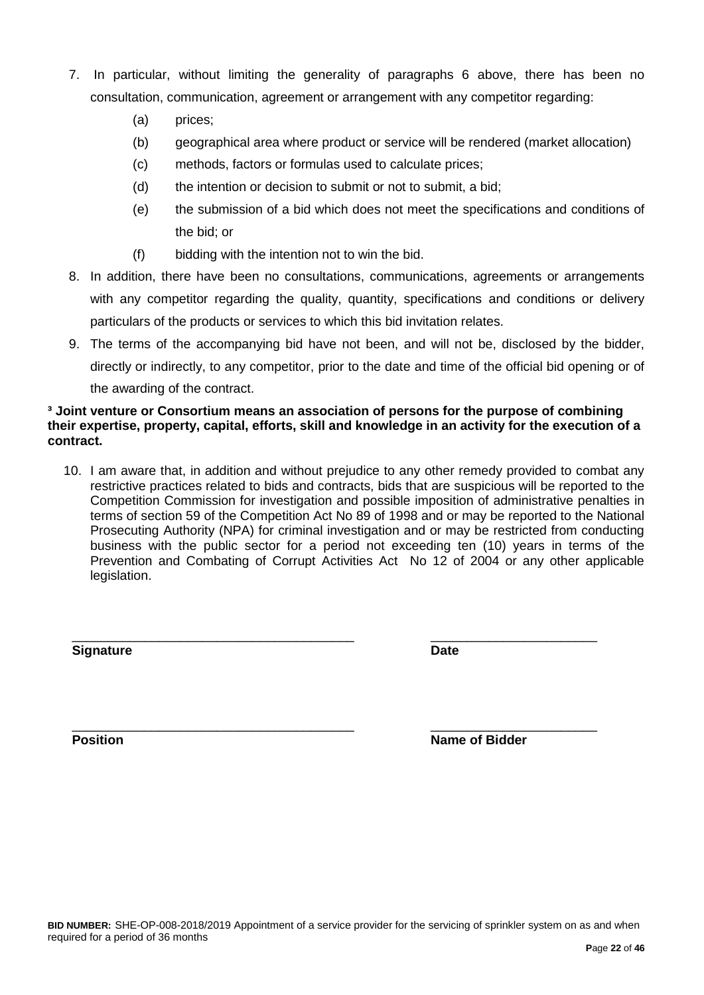business with the public sector for a period not exceeding ten (10) years in terms of the Prevention and Combating of Corrupt Activities Act No 12 of 2004 or any other applicable legislation.

\_\_\_\_\_\_\_\_\_\_\_\_\_\_\_\_\_\_\_\_\_\_\_\_\_\_\_\_\_\_\_\_\_\_\_\_\_\_\_ \_\_\_\_\_\_\_\_\_\_\_\_\_\_\_\_\_\_\_\_\_\_\_ **Signature Date**

\_\_\_\_\_\_\_\_\_\_\_\_\_\_\_\_\_\_\_\_\_\_\_\_\_\_\_\_\_\_\_\_\_\_\_\_\_\_\_ \_\_\_\_\_\_\_\_\_\_\_\_\_\_\_\_\_\_\_\_\_\_\_ **Position Name of Bidder** 

#### **P**age **22** of **46**

- 7. In particular, without limiting the generality of paragraphs 6 above, there has been no consultation, communication, agreement or arrangement with any competitor regarding:
	- (a) prices;
	- (b) geographical area where product or service will be rendered (market allocation)
	- (c) methods, factors or formulas used to calculate prices;
	- (d) the intention or decision to submit or not to submit, a bid;
	- (e) the submission of a bid which does not meet the specifications and conditions of the bid; or
	- (f) bidding with the intention not to win the bid.
- 8. In addition, there have been no consultations, communications, agreements or arrangements with any competitor regarding the quality, quantity, specifications and conditions or delivery particulars of the products or services to which this bid invitation relates.
- 9. The terms of the accompanying bid have not been, and will not be, disclosed by the bidder, directly or indirectly, to any competitor, prior to the date and time of the official bid opening or of the awarding of the contract.

10. I am aware that, in addition and without prejudice to any other remedy provided to combat any restrictive practices related to bids and contracts, bids that are suspicious will be reported to the Competition Commission for investigation and possible imposition of administrative penalties in terms of section 59 of the Competition Act No 89 of 1998 and or may be reported to the National Prosecuting Authority (NPA) for criminal investigation and or may be restricted from conducting

# **³ Joint venture or Consortium means an association of persons for the purpose of combining their expertise, property, capital, efforts, skill and knowledge in an activity for the execution of a contract.**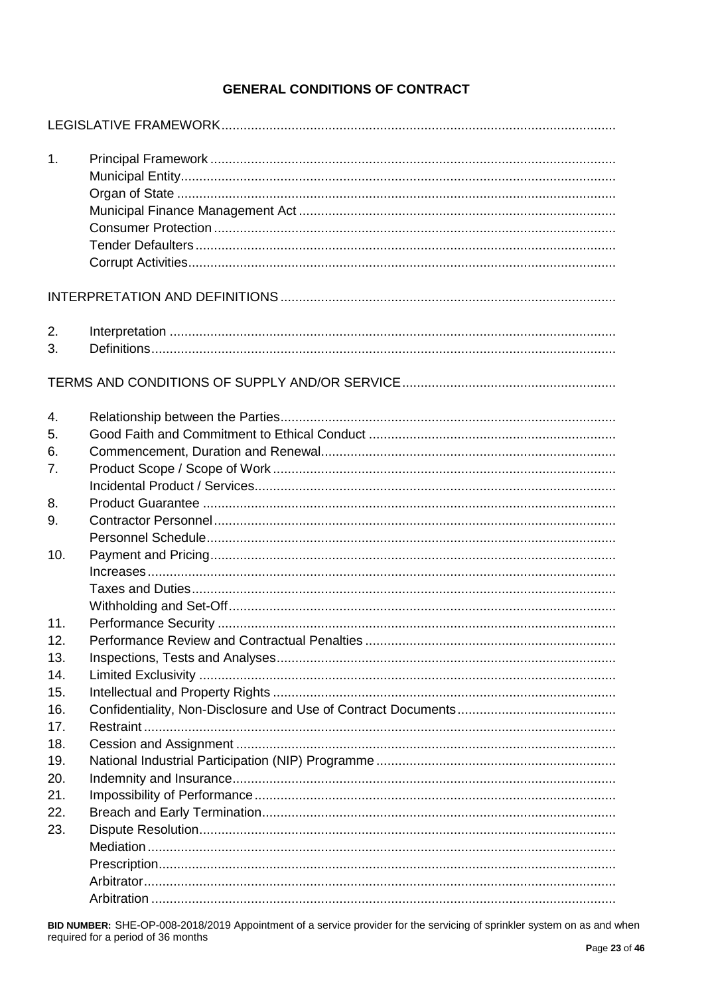# **GENERAL CONDITIONS OF CONTRACT**

| 1.                |  |
|-------------------|--|
|                   |  |
| 2.<br>3.          |  |
|                   |  |
| 4.<br>5.          |  |
| 6.<br>7.          |  |
| 8.<br>9.          |  |
| 10.               |  |
| 11.<br>12.        |  |
| 13.<br>14.<br>15. |  |
| 16.<br>17.        |  |
| 18.<br>19.        |  |
| 20.<br>21.<br>22. |  |
| 23.               |  |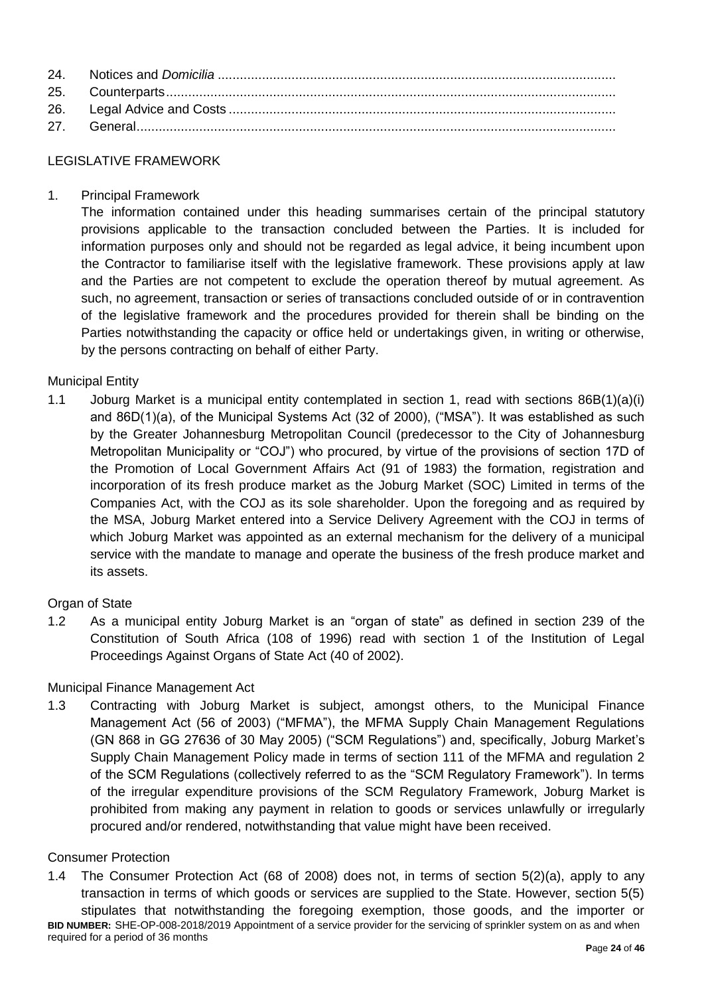# LEGISLATIVE FRAMEWORK

1. Principal Framework

The information contained under this heading summarises certain of the principal statutory provisions applicable to the transaction concluded between the Parties. It is included for information purposes only and should not be regarded as legal advice, it being incumbent upon the Contractor to familiarise itself with the legislative framework. These provisions apply at law and the Parties are not competent to exclude the operation thereof by mutual agreement. As such, no agreement, transaction or series of transactions concluded outside of or in contravention of the legislative framework and the procedures provided for therein shall be binding on the Parties notwithstanding the capacity or office held or undertakings given, in writing or otherwise, by the persons contracting on behalf of either Party.

# Municipal Entity

1.1 Joburg Market is a municipal entity contemplated in section 1, read with sections 86B(1)(a)(i) and 86D(1)(a), of the Municipal Systems Act (32 of 2000), ("MSA"). It was established as such by the Greater Johannesburg Metropolitan Council (predecessor to the City of Johannesburg Metropolitan Municipality or "COJ") who procured, by virtue of the provisions of section 17D of the Promotion of Local Government Affairs Act (91 of 1983) the formation, registration and incorporation of its fresh produce market as the Joburg Market (SOC) Limited in terms of the Companies Act, with the COJ as its sole shareholder. Upon the foregoing and as required by the MSA, Joburg Market entered into a Service Delivery Agreement with the COJ in terms of which Joburg Market was appointed as an external mechanism for the delivery of a municipal service with the mandate to manage and operate the business of the fresh produce market and its assets.

#### Organ of State

1.2 As a municipal entity Joburg Market is an "organ of state" as defined in section 239 of the Constitution of South Africa (108 of 1996) read with section 1 of the Institution of Legal Proceedings Against Organs of State Act (40 of 2002).

#### Municipal Finance Management Act

1.3 Contracting with Joburg Market is subject, amongst others, to the Municipal Finance Management Act (56 of 2003) ("MFMA"), the MFMA Supply Chain Management Regulations (GN 868 in GG 27636 of 30 May 2005) ("SCM Regulations") and, specifically, Joburg Market's Supply Chain Management Policy made in terms of section 111 of the MFMA and regulation 2 of the SCM Regulations (collectively referred to as the "SCM Regulatory Framework"). In terms of the irregular expenditure provisions of the SCM Regulatory Framework, Joburg Market is prohibited from making any payment in relation to goods or services unlawfully or irregularly procured and/or rendered, notwithstanding that value might have been received.

#### Consumer Protection

1.4 The Consumer Protection Act (68 of 2008) does not, in terms of section 5(2)(a), apply to any transaction in terms of which goods or services are supplied to the State. However, section 5(5) stipulates that notwithstanding the foregoing exemption, those goods, and the importer or

**BID NUMBER:** SHE-OP-008-2018/2019 Appointment of a service provider for the servicing of sprinkler system on as and when required for a period of 36 months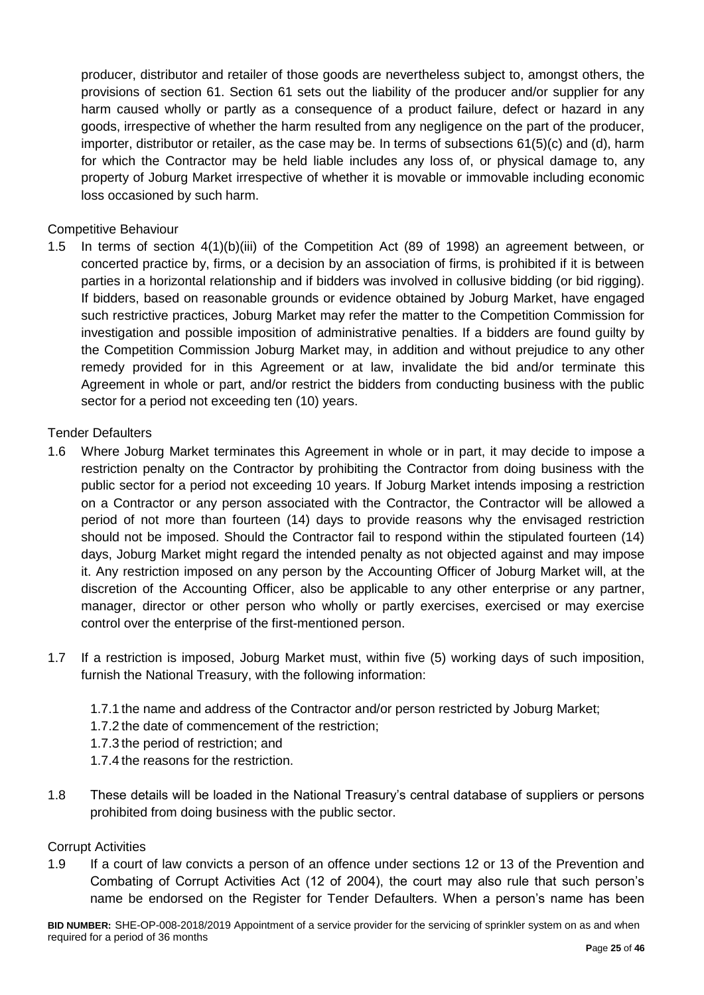producer, distributor and retailer of those goods are nevertheless subject to, amongst others, the provisions of section 61. Section 61 sets out the liability of the producer and/or supplier for any harm caused wholly or partly as a consequence of a product failure, defect or hazard in any goods, irrespective of whether the harm resulted from any negligence on the part of the producer, importer, distributor or retailer, as the case may be. In terms of subsections 61(5)(c) and (d), harm for which the Contractor may be held liable includes any loss of, or physical damage to, any property of Joburg Market irrespective of whether it is movable or immovable including economic loss occasioned by such harm.

# Competitive Behaviour

1.5 In terms of section 4(1)(b)(iii) of the Competition Act (89 of 1998) an agreement between, or concerted practice by, firms, or a decision by an association of firms, is prohibited if it is between parties in a horizontal relationship and if bidders was involved in collusive bidding (or bid rigging). If bidders, based on reasonable grounds or evidence obtained by Joburg Market, have engaged such restrictive practices, Joburg Market may refer the matter to the Competition Commission for investigation and possible imposition of administrative penalties. If a bidders are found guilty by the Competition Commission Joburg Market may, in addition and without prejudice to any other remedy provided for in this Agreement or at law, invalidate the bid and/or terminate this Agreement in whole or part, and/or restrict the bidders from conducting business with the public sector for a period not exceeding ten (10) years.

# Tender Defaulters

- 1.6 Where Joburg Market terminates this Agreement in whole or in part, it may decide to impose a restriction penalty on the Contractor by prohibiting the Contractor from doing business with the public sector for a period not exceeding 10 years. If Joburg Market intends imposing a restriction on a Contractor or any person associated with the Contractor, the Contractor will be allowed a period of not more than fourteen (14) days to provide reasons why the envisaged restriction should not be imposed. Should the Contractor fail to respond within the stipulated fourteen (14) days, Joburg Market might regard the intended penalty as not objected against and may impose it. Any restriction imposed on any person by the Accounting Officer of Joburg Market will, at the discretion of the Accounting Officer, also be applicable to any other enterprise or any partner, manager, director or other person who wholly or partly exercises, exercised or may exercise control over the enterprise of the first-mentioned person.
- 1.7 If a restriction is imposed, Joburg Market must, within five (5) working days of such imposition, furnish the National Treasury, with the following information:
	- 1.7.1 the name and address of the Contractor and/or person restricted by Joburg Market;
	- 1.7.2 the date of commencement of the restriction;
	- 1.7.3 the period of restriction; and
	- 1.7.4 the reasons for the restriction.
- 1.8 These details will be loaded in the National Treasury's central database of suppliers or persons prohibited from doing business with the public sector.

#### Corrupt Activities

1.9 If a court of law convicts a person of an offence under sections 12 or 13 of the Prevention and Combating of Corrupt Activities Act (12 of 2004), the court may also rule that such person's name be endorsed on the Register for Tender Defaulters. When a person's name has been

**BID NUMBER:** SHE-OP-008-2018/2019 Appointment of a service provider for the servicing of sprinkler system on as and when required for a period of 36 months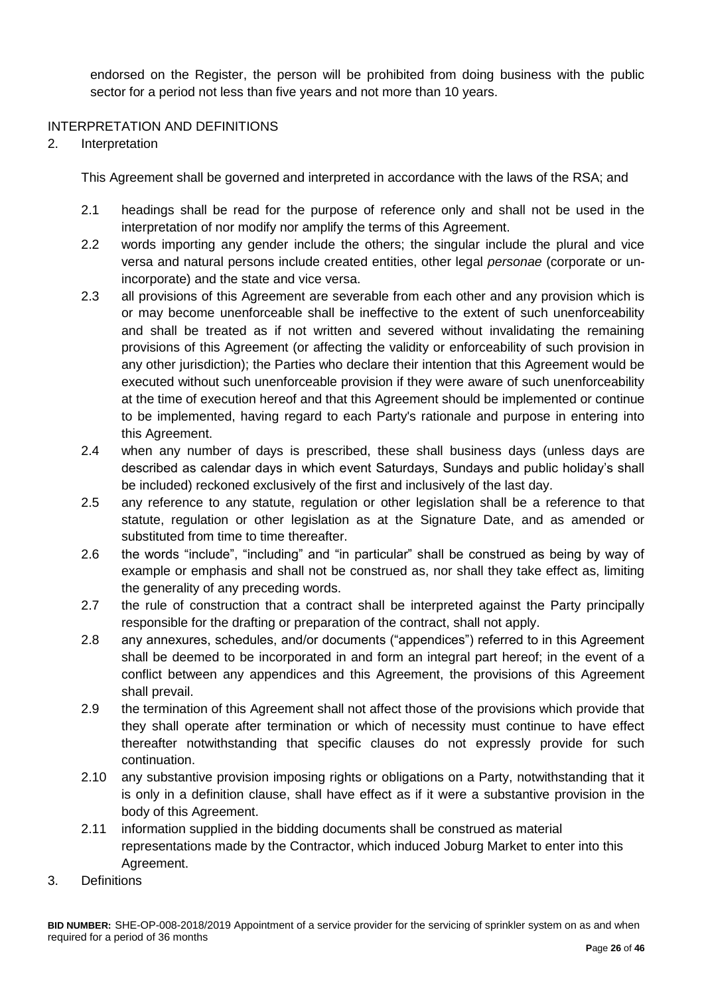endorsed on the Register, the person will be prohibited from doing business with the public sector for a period not less than five years and not more than 10 years.

# INTERPRETATION AND DEFINITIONS

2. Interpretation

This Agreement shall be governed and interpreted in accordance with the laws of the RSA; and

- 2.1 headings shall be read for the purpose of reference only and shall not be used in the interpretation of nor modify nor amplify the terms of this Agreement.
- 2.2 words importing any gender include the others; the singular include the plural and vice versa and natural persons include created entities, other legal *personae* (corporate or unincorporate) and the state and vice versa.
- 2.3 all provisions of this Agreement are severable from each other and any provision which is or may become unenforceable shall be ineffective to the extent of such unenforceability and shall be treated as if not written and severed without invalidating the remaining provisions of this Agreement (or affecting the validity or enforceability of such provision in any other jurisdiction); the Parties who declare their intention that this Agreement would be executed without such unenforceable provision if they were aware of such unenforceability at the time of execution hereof and that this Agreement should be implemented or continue to be implemented, having regard to each Party's rationale and purpose in entering into this Agreement.
- 2.4 when any number of days is prescribed, these shall business days (unless days are described as calendar days in which event Saturdays, Sundays and public holiday's shall be included) reckoned exclusively of the first and inclusively of the last day.
- 2.5 any reference to any statute, regulation or other legislation shall be a reference to that statute, regulation or other legislation as at the Signature Date, and as amended or substituted from time to time thereafter.
- 2.6 the words "include", "including" and "in particular" shall be construed as being by way of example or emphasis and shall not be construed as, nor shall they take effect as, limiting the generality of any preceding words.
- 2.7 the rule of construction that a contract shall be interpreted against the Party principally responsible for the drafting or preparation of the contract, shall not apply.
- 2.8 any annexures, schedules, and/or documents ("appendices") referred to in this Agreement shall be deemed to be incorporated in and form an integral part hereof; in the event of a conflict between any appendices and this Agreement, the provisions of this Agreement shall prevail.
- 2.9 the termination of this Agreement shall not affect those of the provisions which provide that they shall operate after termination or which of necessity must continue to have effect thereafter notwithstanding that specific clauses do not expressly provide for such continuation.
- 2.10 any substantive provision imposing rights or obligations on a Party, notwithstanding that it is only in a definition clause, shall have effect as if it were a substantive provision in the body of this Agreement.
- 2.11 information supplied in the bidding documents shall be construed as material representations made by the Contractor, which induced Joburg Market to enter into this Agreement.
- 3. Definitions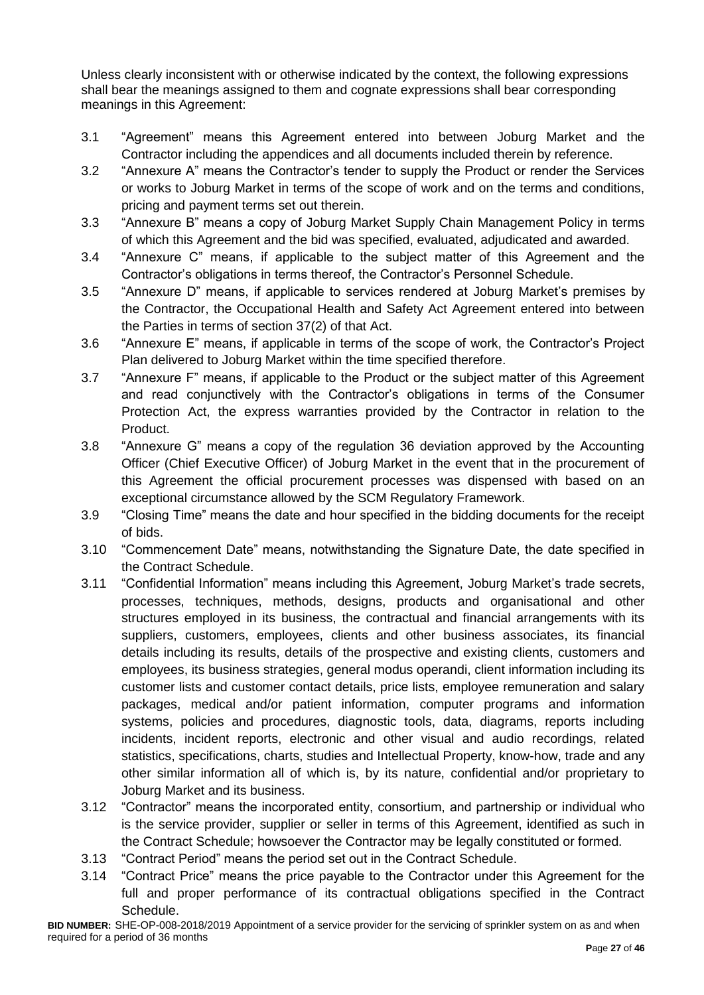Unless clearly inconsistent with or otherwise indicated by the context, the following expressions shall bear the meanings assigned to them and cognate expressions shall bear corresponding meanings in this Agreement:

- 3.1 "Agreement" means this Agreement entered into between Joburg Market and the Contractor including the appendices and all documents included therein by reference.
- 3.2 "Annexure A" means the Contractor's tender to supply the Product or render the Services or works to Joburg Market in terms of the scope of work and on the terms and conditions, pricing and payment terms set out therein.
- 3.3 "Annexure B" means a copy of Joburg Market Supply Chain Management Policy in terms of which this Agreement and the bid was specified, evaluated, adjudicated and awarded.
- 3.4 "Annexure C" means, if applicable to the subject matter of this Agreement and the Contractor's obligations in terms thereof, the Contractor's Personnel Schedule.
- 3.5 "Annexure D" means, if applicable to services rendered at Joburg Market's premises by the Contractor, the Occupational Health and Safety Act Agreement entered into between the Parties in terms of section 37(2) of that Act.
- 3.6 "Annexure E" means, if applicable in terms of the scope of work, the Contractor's Project Plan delivered to Joburg Market within the time specified therefore.
- 3.7 "Annexure F" means, if applicable to the Product or the subject matter of this Agreement and read conjunctively with the Contractor's obligations in terms of the Consumer Protection Act, the express warranties provided by the Contractor in relation to the Product.
- 3.8 "Annexure G" means a copy of the regulation 36 deviation approved by the Accounting Officer (Chief Executive Officer) of Joburg Market in the event that in the procurement of this Agreement the official procurement processes was dispensed with based on an exceptional circumstance allowed by the SCM Regulatory Framework.
- 3.9 "Closing Time" means the date and hour specified in the bidding documents for the receipt of bids.
- 3.10 "Commencement Date" means, notwithstanding the Signature Date, the date specified in the Contract Schedule.
- 3.11 "Confidential Information" means including this Agreement, Joburg Market's trade secrets, processes, techniques, methods, designs, products and organisational and other structures employed in its business, the contractual and financial arrangements with its suppliers, customers, employees, clients and other business associates, its financial details including its results, details of the prospective and existing clients, customers and employees, its business strategies, general modus operandi, client information including its customer lists and customer contact details, price lists, employee remuneration and salary packages, medical and/or patient information, computer programs and information systems, policies and procedures, diagnostic tools, data, diagrams, reports including incidents, incident reports, electronic and other visual and audio recordings, related statistics, specifications, charts, studies and Intellectual Property, know-how, trade and any other similar information all of which is, by its nature, confidential and/or proprietary to Joburg Market and its business.
- 3.12 "Contractor" means the incorporated entity, consortium, and partnership or individual who is the service provider, supplier or seller in terms of this Agreement, identified as such in the Contract Schedule; howsoever the Contractor may be legally constituted or formed.
- 3.13 "Contract Period" means the period set out in the Contract Schedule.
- 3.14 "Contract Price" means the price payable to the Contractor under this Agreement for the full and proper performance of its contractual obligations specified in the Contract Schedule.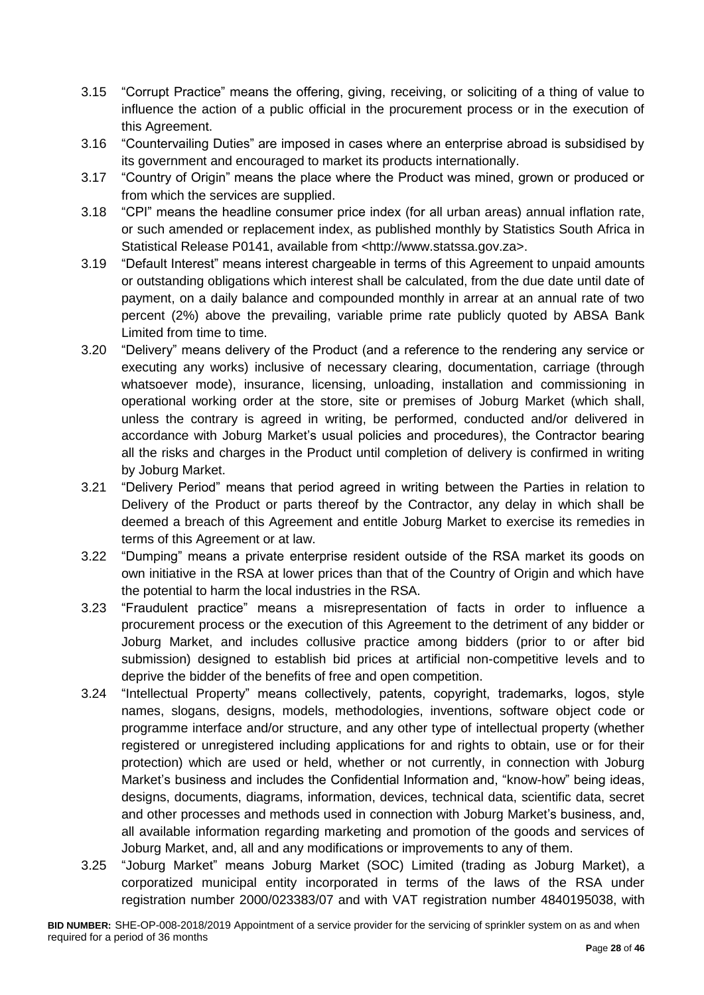- 3.15 "Corrupt Practice" means the offering, giving, receiving, or soliciting of a thing of value to influence the action of a public official in the procurement process or in the execution of this Agreement.
- 3.16 "Countervailing Duties" are imposed in cases where an enterprise abroad is subsidised by its government and encouraged to market its products internationally.
- 3.17 "Country of Origin" means the place where the Product was mined, grown or produced or from which the services are supplied.
- 3.18 "CPI" means the headline consumer price index (for all urban areas) annual inflation rate, or such amended or replacement index, as published monthly by Statistics South Africa in Statistical Release P0141, available from <http://www.statssa.gov.za>.
- 3.19 "Default Interest" means interest chargeable in terms of this Agreement to unpaid amounts or outstanding obligations which interest shall be calculated, from the due date until date of payment, on a daily balance and compounded monthly in arrear at an annual rate of two percent (2%) above the prevailing, variable prime rate publicly quoted by ABSA Bank Limited from time to time.
- 3.20 "Delivery" means delivery of the Product (and a reference to the rendering any service or executing any works) inclusive of necessary clearing, documentation, carriage (through whatsoever mode), insurance, licensing, unloading, installation and commissioning in operational working order at the store, site or premises of Joburg Market (which shall, unless the contrary is agreed in writing, be performed, conducted and/or delivered in accordance with Joburg Market's usual policies and procedures), the Contractor bearing all the risks and charges in the Product until completion of delivery is confirmed in writing by Joburg Market.
- 3.21 "Delivery Period" means that period agreed in writing between the Parties in relation to Delivery of the Product or parts thereof by the Contractor, any delay in which shall be deemed a breach of this Agreement and entitle Joburg Market to exercise its remedies in terms of this Agreement or at law.
- 3.22 "Dumping" means a private enterprise resident outside of the RSA market its goods on own initiative in the RSA at lower prices than that of the Country of Origin and which have the potential to harm the local industries in the RSA.
- 3.23 "Fraudulent practice" means a misrepresentation of facts in order to influence a procurement process or the execution of this Agreement to the detriment of any bidder or Joburg Market, and includes collusive practice among bidders (prior to or after bid submission) designed to establish bid prices at artificial non-competitive levels and to deprive the bidder of the benefits of free and open competition.
- 3.24 "Intellectual Property" means collectively, patents, copyright, trademarks, logos, style names, slogans, designs, models, methodologies, inventions, software object code or programme interface and/or structure, and any other type of intellectual property (whether registered or unregistered including applications for and rights to obtain, use or for their protection) which are used or held, whether or not currently, in connection with Joburg Market's business and includes the Confidential Information and, "know-how" being ideas, designs, documents, diagrams, information, devices, technical data, scientific data, secret and other processes and methods used in connection with Joburg Market's business, and, all available information regarding marketing and promotion of the goods and services of Joburg Market, and, all and any modifications or improvements to any of them.
- 3.25 "Joburg Market" means Joburg Market (SOC) Limited (trading as Joburg Market), a corporatized municipal entity incorporated in terms of the laws of the RSA under registration number 2000/023383/07 and with VAT registration number 4840195038, with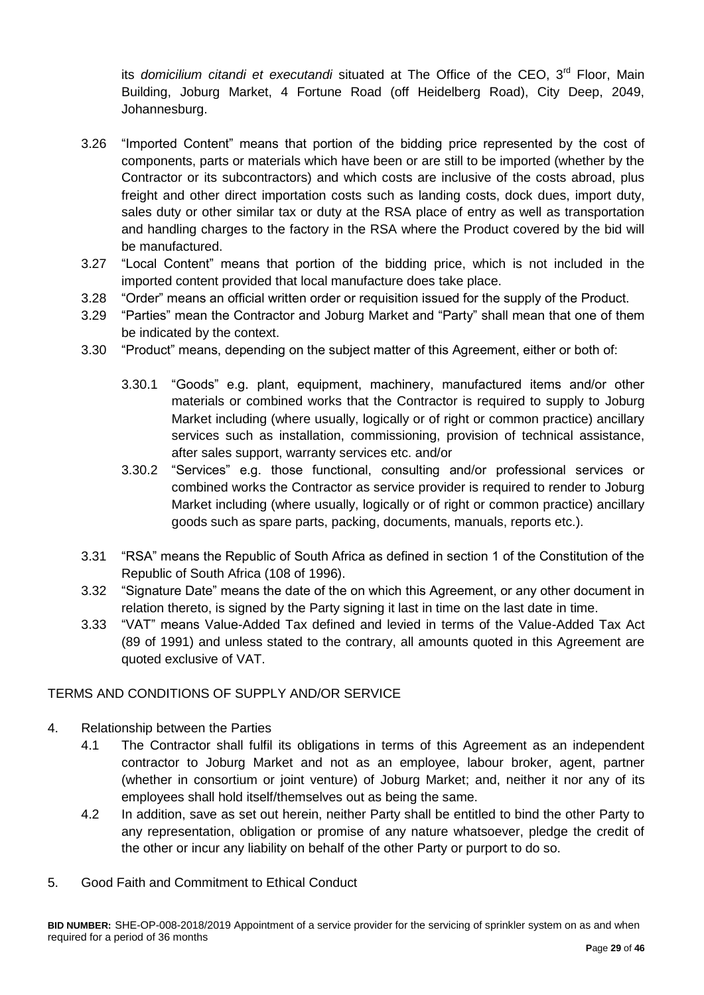its *domicilium citandi et executandi* situated at The Office of the CEO, 3<sup>rd</sup> Floor, Main Building, Joburg Market, 4 Fortune Road (off Heidelberg Road), City Deep, 2049, Johannesburg.

- 3.26 "Imported Content" means that portion of the bidding price represented by the cost of components, parts or materials which have been or are still to be imported (whether by the Contractor or its subcontractors) and which costs are inclusive of the costs abroad, plus freight and other direct importation costs such as landing costs, dock dues, import duty, sales duty or other similar tax or duty at the RSA place of entry as well as transportation and handling charges to the factory in the RSA where the Product covered by the bid will be manufactured.
- 3.27 "Local Content" means that portion of the bidding price, which is not included in the imported content provided that local manufacture does take place.
- 3.28 "Order" means an official written order or requisition issued for the supply of the Product.
- 3.29 "Parties" mean the Contractor and Joburg Market and "Party" shall mean that one of them be indicated by the context.
- 3.30 "Product" means, depending on the subject matter of this Agreement, either or both of:
	- 3.30.1 "Goods" e.g. plant, equipment, machinery, manufactured items and/or other materials or combined works that the Contractor is required to supply to Joburg Market including (where usually, logically or of right or common practice) ancillary services such as installation, commissioning, provision of technical assistance, after sales support, warranty services etc. and/or
	- 3.30.2 "Services" e.g. those functional, consulting and/or professional services or combined works the Contractor as service provider is required to render to Joburg Market including (where usually, logically or of right or common practice) ancillary goods such as spare parts, packing, documents, manuals, reports etc.).
- 3.31 "RSA" means the Republic of South Africa as defined in section 1 of the Constitution of the Republic of South Africa (108 of 1996).
- 3.32 "Signature Date" means the date of the on which this Agreement, or any other document in relation thereto, is signed by the Party signing it last in time on the last date in time.
- 3.33 "VAT" means Value-Added Tax defined and levied in terms of the Value-Added Tax Act (89 of 1991) and unless stated to the contrary, all amounts quoted in this Agreement are quoted exclusive of VAT.

# TERMS AND CONDITIONS OF SUPPLY AND/OR SERVICE

- 4. Relationship between the Parties
	- 4.1 The Contractor shall fulfil its obligations in terms of this Agreement as an independent contractor to Joburg Market and not as an employee, labour broker, agent, partner (whether in consortium or joint venture) of Joburg Market; and, neither it nor any of its employees shall hold itself/themselves out as being the same.
	- 4.2 In addition, save as set out herein, neither Party shall be entitled to bind the other Party to any representation, obligation or promise of any nature whatsoever, pledge the credit of the other or incur any liability on behalf of the other Party or purport to do so.
- 5. Good Faith and Commitment to Ethical Conduct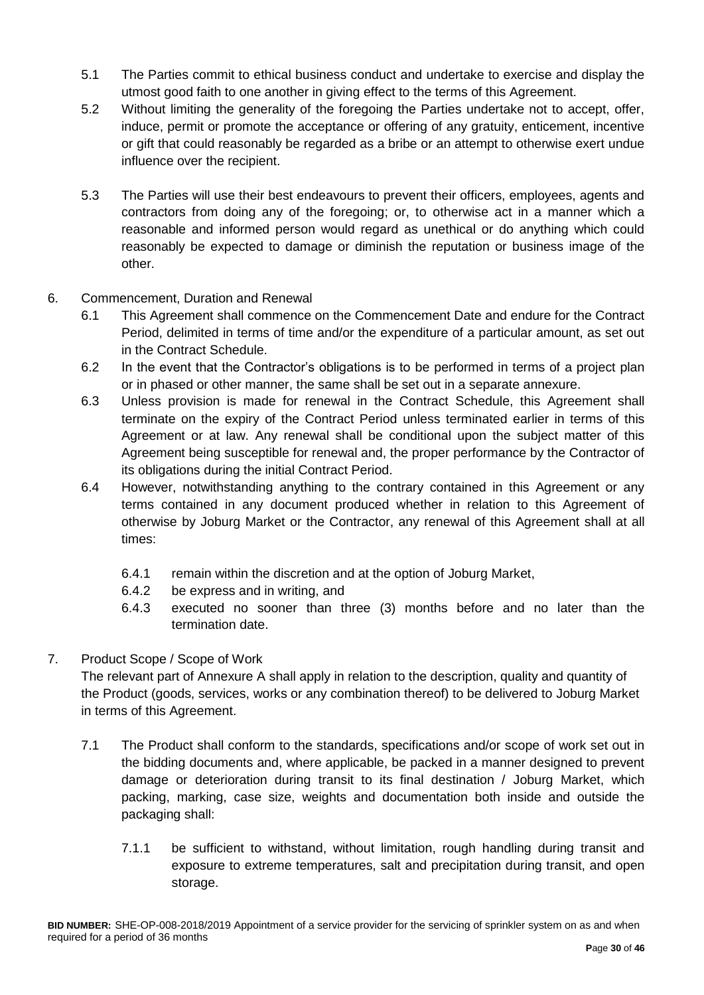- 5.1 The Parties commit to ethical business conduct and undertake to exercise and display the utmost good faith to one another in giving effect to the terms of this Agreement.
- 5.2 Without limiting the generality of the foregoing the Parties undertake not to accept, offer, induce, permit or promote the acceptance or offering of any gratuity, enticement, incentive or gift that could reasonably be regarded as a bribe or an attempt to otherwise exert undue influence over the recipient.
- 5.3 The Parties will use their best endeavours to prevent their officers, employees, agents and contractors from doing any of the foregoing; or, to otherwise act in a manner which a reasonable and informed person would regard as unethical or do anything which could reasonably be expected to damage or diminish the reputation or business image of the other.
- 6. Commencement, Duration and Renewal
	- 6.1 This Agreement shall commence on the Commencement Date and endure for the Contract Period, delimited in terms of time and/or the expenditure of a particular amount, as set out in the Contract Schedule.
	- 6.2 In the event that the Contractor's obligations is to be performed in terms of a project plan or in phased or other manner, the same shall be set out in a separate annexure.
	- 6.3 Unless provision is made for renewal in the Contract Schedule, this Agreement shall terminate on the expiry of the Contract Period unless terminated earlier in terms of this Agreement or at law. Any renewal shall be conditional upon the subject matter of this Agreement being susceptible for renewal and, the proper performance by the Contractor of its obligations during the initial Contract Period.
	- 6.4 However, notwithstanding anything to the contrary contained in this Agreement or any terms contained in any document produced whether in relation to this Agreement of otherwise by Joburg Market or the Contractor, any renewal of this Agreement shall at all times:
		- 6.4.1 remain within the discretion and at the option of Joburg Market,
		- 6.4.2 be express and in writing, and
		- 6.4.3 executed no sooner than three (3) months before and no later than the termination date.

# 7. Product Scope / Scope of Work

The relevant part of Annexure A shall apply in relation to the description, quality and quantity of the Product (goods, services, works or any combination thereof) to be delivered to Joburg Market in terms of this Agreement.

- 7.1 The Product shall conform to the standards, specifications and/or scope of work set out in the bidding documents and, where applicable, be packed in a manner designed to prevent damage or deterioration during transit to its final destination / Joburg Market, which packing, marking, case size, weights and documentation both inside and outside the packaging shall:
	- 7.1.1 be sufficient to withstand, without limitation, rough handling during transit and exposure to extreme temperatures, salt and precipitation during transit, and open storage.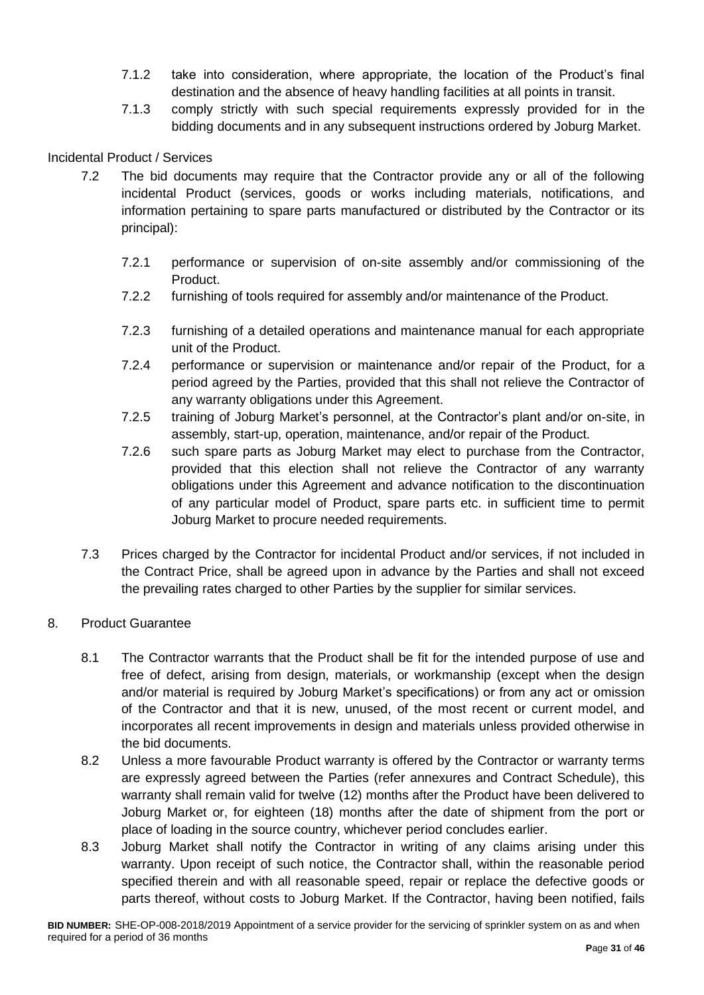- 7.1.2 take into consideration, where appropriate, the location of the Product's final destination and the absence of heavy handling facilities at all points in transit.
- 7.1.3 comply strictly with such special requirements expressly provided for in the bidding documents and in any subsequent instructions ordered by Joburg Market.

# Incidental Product / Services

- 7.2 The bid documents may require that the Contractor provide any or all of the following incidental Product (services, goods or works including materials, notifications, and information pertaining to spare parts manufactured or distributed by the Contractor or its principal):
	- 7.2.1 performance or supervision of on-site assembly and/or commissioning of the Product.
	- 7.2.2 furnishing of tools required for assembly and/or maintenance of the Product.
	- 7.2.3 furnishing of a detailed operations and maintenance manual for each appropriate unit of the Product.
	- 7.2.4 performance or supervision or maintenance and/or repair of the Product, for a period agreed by the Parties, provided that this shall not relieve the Contractor of any warranty obligations under this Agreement.
	- 7.2.5 training of Joburg Market's personnel, at the Contractor's plant and/or on-site, in assembly, start-up, operation, maintenance, and/or repair of the Product.
	- 7.2.6 such spare parts as Joburg Market may elect to purchase from the Contractor, provided that this election shall not relieve the Contractor of any warranty obligations under this Agreement and advance notification to the discontinuation of any particular model of Product, spare parts etc. in sufficient time to permit Joburg Market to procure needed requirements.
- 7.3 Prices charged by the Contractor for incidental Product and/or services, if not included in the Contract Price, shall be agreed upon in advance by the Parties and shall not exceed the prevailing rates charged to other Parties by the supplier for similar services.

#### 8. Product Guarantee

- 8.1 The Contractor warrants that the Product shall be fit for the intended purpose of use and free of defect, arising from design, materials, or workmanship (except when the design and/or material is required by Joburg Market's specifications) or from any act or omission of the Contractor and that it is new, unused, of the most recent or current model, and incorporates all recent improvements in design and materials unless provided otherwise in the bid documents.
- 8.2 Unless a more favourable Product warranty is offered by the Contractor or warranty terms are expressly agreed between the Parties (refer annexures and Contract Schedule), this warranty shall remain valid for twelve (12) months after the Product have been delivered to Joburg Market or, for eighteen (18) months after the date of shipment from the port or place of loading in the source country, whichever period concludes earlier.
- 8.3 Joburg Market shall notify the Contractor in writing of any claims arising under this warranty. Upon receipt of such notice, the Contractor shall, within the reasonable period specified therein and with all reasonable speed, repair or replace the defective goods or parts thereof, without costs to Joburg Market. If the Contractor, having been notified, fails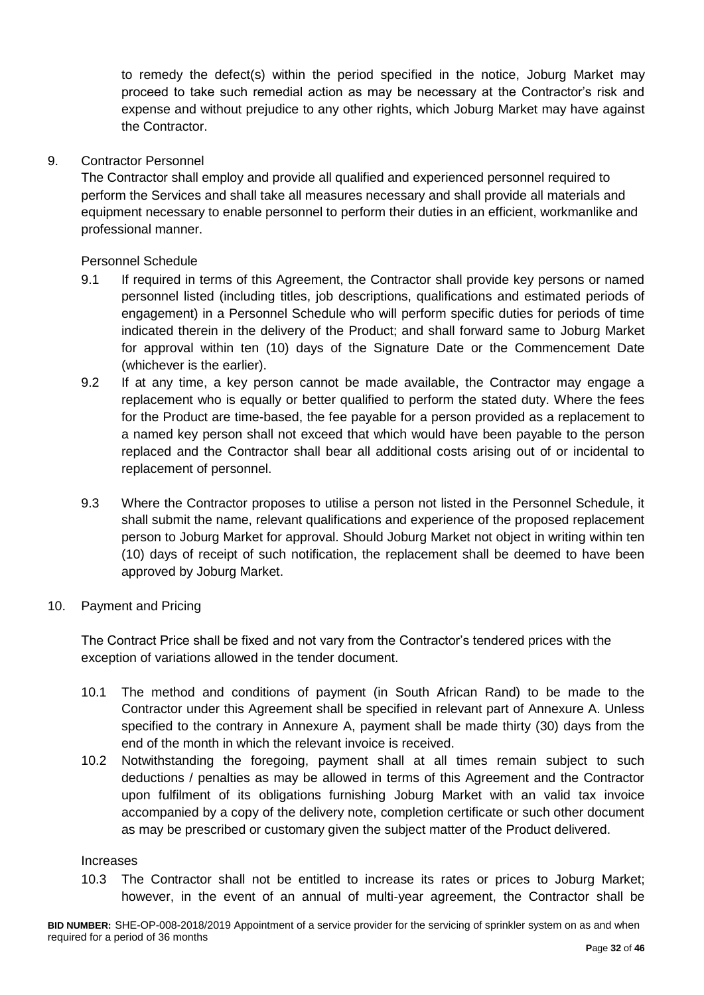to remedy the defect(s) within the period specified in the notice, Joburg Market may proceed to take such remedial action as may be necessary at the Contractor's risk and expense and without prejudice to any other rights, which Joburg Market may have against the Contractor.

### 9. Contractor Personnel

The Contractor shall employ and provide all qualified and experienced personnel required to perform the Services and shall take all measures necessary and shall provide all materials and equipment necessary to enable personnel to perform their duties in an efficient, workmanlike and professional manner.

Personnel Schedule

- 9.1 If required in terms of this Agreement, the Contractor shall provide key persons or named personnel listed (including titles, job descriptions, qualifications and estimated periods of engagement) in a Personnel Schedule who will perform specific duties for periods of time indicated therein in the delivery of the Product; and shall forward same to Joburg Market for approval within ten (10) days of the Signature Date or the Commencement Date (whichever is the earlier).
- 9.2 If at any time, a key person cannot be made available, the Contractor may engage a replacement who is equally or better qualified to perform the stated duty. Where the fees for the Product are time-based, the fee payable for a person provided as a replacement to a named key person shall not exceed that which would have been payable to the person replaced and the Contractor shall bear all additional costs arising out of or incidental to replacement of personnel.
- 9.3 Where the Contractor proposes to utilise a person not listed in the Personnel Schedule, it shall submit the name, relevant qualifications and experience of the proposed replacement person to Joburg Market for approval. Should Joburg Market not object in writing within ten (10) days of receipt of such notification, the replacement shall be deemed to have been approved by Joburg Market.
- 10. Payment and Pricing

The Contract Price shall be fixed and not vary from the Contractor's tendered prices with the exception of variations allowed in the tender document.

- 10.1 The method and conditions of payment (in South African Rand) to be made to the Contractor under this Agreement shall be specified in relevant part of Annexure A. Unless specified to the contrary in Annexure A, payment shall be made thirty (30) days from the end of the month in which the relevant invoice is received.
- 10.2 Notwithstanding the foregoing, payment shall at all times remain subject to such deductions / penalties as may be allowed in terms of this Agreement and the Contractor upon fulfilment of its obligations furnishing Joburg Market with an valid tax invoice accompanied by a copy of the delivery note, completion certificate or such other document as may be prescribed or customary given the subject matter of the Product delivered.

#### Increases

10.3 The Contractor shall not be entitled to increase its rates or prices to Joburg Market; however, in the event of an annual of multi-year agreement, the Contractor shall be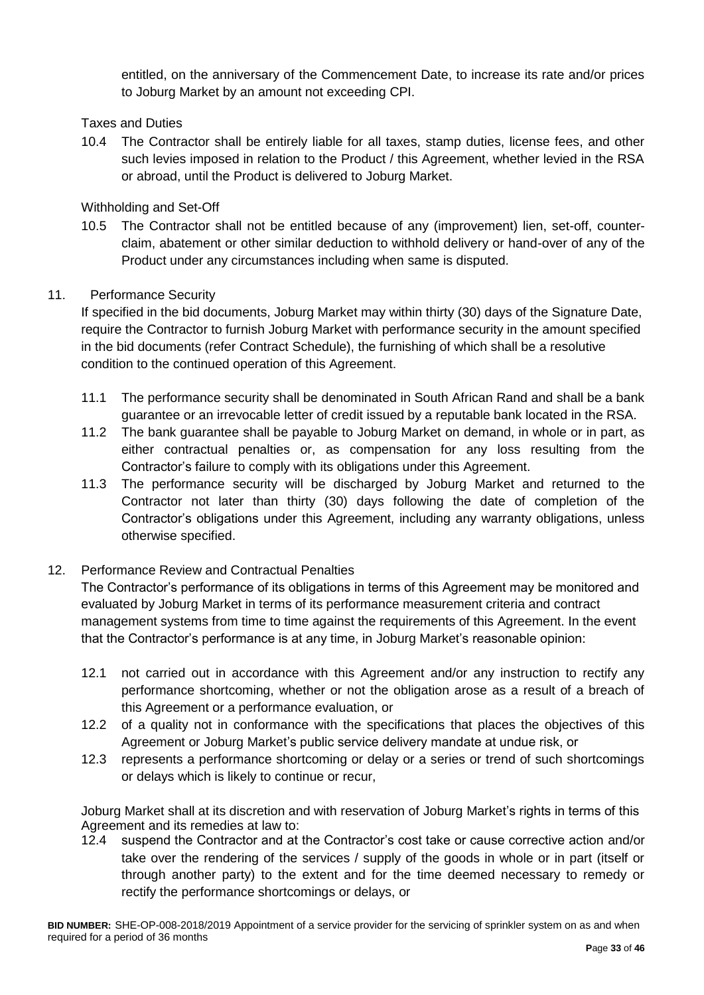entitled, on the anniversary of the Commencement Date, to increase its rate and/or prices to Joburg Market by an amount not exceeding CPI.

# Taxes and Duties

10.4 The Contractor shall be entirely liable for all taxes, stamp duties, license fees, and other such levies imposed in relation to the Product / this Agreement, whether levied in the RSA or abroad, until the Product is delivered to Joburg Market.

Withholding and Set-Off

10.5 The Contractor shall not be entitled because of any (improvement) lien, set-off, counterclaim, abatement or other similar deduction to withhold delivery or hand-over of any of the Product under any circumstances including when same is disputed.

# 11. Performance Security

If specified in the bid documents, Joburg Market may within thirty (30) days of the Signature Date, require the Contractor to furnish Joburg Market with performance security in the amount specified in the bid documents (refer Contract Schedule), the furnishing of which shall be a resolutive condition to the continued operation of this Agreement.

- 11.1 The performance security shall be denominated in South African Rand and shall be a bank guarantee or an irrevocable letter of credit issued by a reputable bank located in the RSA.
- 11.2 The bank guarantee shall be payable to Joburg Market on demand, in whole or in part, as either contractual penalties or, as compensation for any loss resulting from the Contractor's failure to comply with its obligations under this Agreement.
- 11.3 The performance security will be discharged by Joburg Market and returned to the Contractor not later than thirty (30) days following the date of completion of the Contractor's obligations under this Agreement, including any warranty obligations, unless otherwise specified.

# 12. Performance Review and Contractual Penalties

The Contractor's performance of its obligations in terms of this Agreement may be monitored and evaluated by Joburg Market in terms of its performance measurement criteria and contract management systems from time to time against the requirements of this Agreement. In the event that the Contractor's performance is at any time, in Joburg Market's reasonable opinion:

- 12.1 not carried out in accordance with this Agreement and/or any instruction to rectify any performance shortcoming, whether or not the obligation arose as a result of a breach of this Agreement or a performance evaluation, or
- 12.2 of a quality not in conformance with the specifications that places the objectives of this Agreement or Joburg Market's public service delivery mandate at undue risk, or
- 12.3 represents a performance shortcoming or delay or a series or trend of such shortcomings or delays which is likely to continue or recur,

Joburg Market shall at its discretion and with reservation of Joburg Market's rights in terms of this Agreement and its remedies at law to:

12.4 suspend the Contractor and at the Contractor's cost take or cause corrective action and/or take over the rendering of the services / supply of the goods in whole or in part (itself or through another party) to the extent and for the time deemed necessary to remedy or rectify the performance shortcomings or delays, or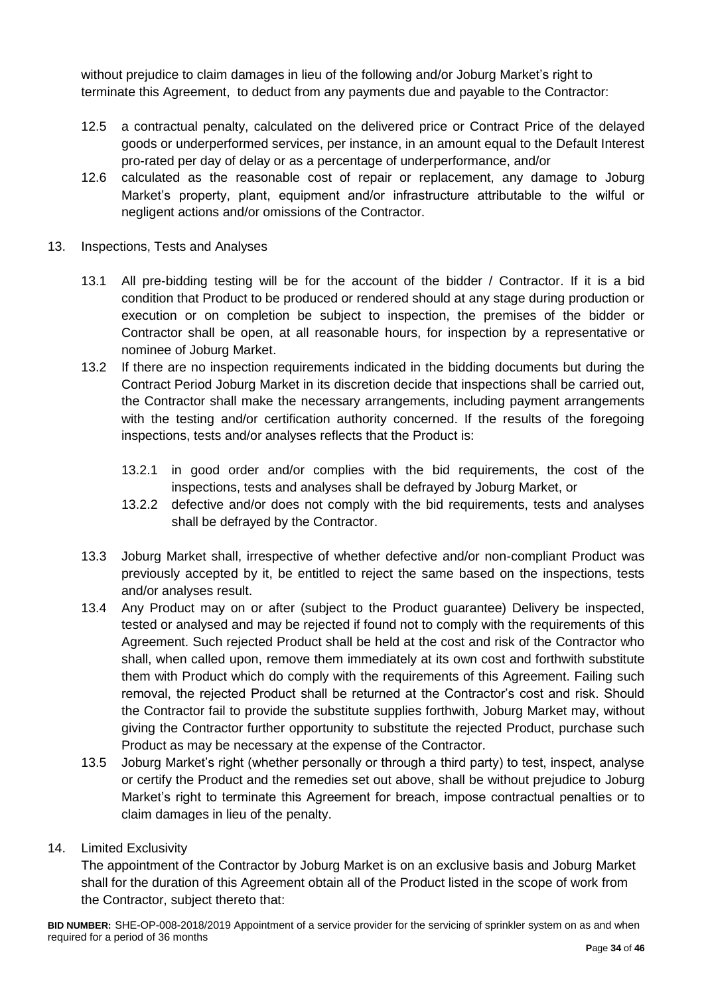without prejudice to claim damages in lieu of the following and/or Joburg Market's right to terminate this Agreement, to deduct from any payments due and payable to the Contractor:

- 12.5 a contractual penalty, calculated on the delivered price or Contract Price of the delayed goods or underperformed services, per instance, in an amount equal to the Default Interest pro-rated per day of delay or as a percentage of underperformance, and/or
- 12.6 calculated as the reasonable cost of repair or replacement, any damage to Joburg Market's property, plant, equipment and/or infrastructure attributable to the wilful or negligent actions and/or omissions of the Contractor.
- 13. Inspections, Tests and Analyses
	- 13.1 All pre-bidding testing will be for the account of the bidder / Contractor. If it is a bid condition that Product to be produced or rendered should at any stage during production or execution or on completion be subject to inspection, the premises of the bidder or Contractor shall be open, at all reasonable hours, for inspection by a representative or nominee of Joburg Market.
	- 13.2 If there are no inspection requirements indicated in the bidding documents but during the Contract Period Joburg Market in its discretion decide that inspections shall be carried out, the Contractor shall make the necessary arrangements, including payment arrangements with the testing and/or certification authority concerned. If the results of the foregoing inspections, tests and/or analyses reflects that the Product is:
		- 13.2.1 in good order and/or complies with the bid requirements, the cost of the inspections, tests and analyses shall be defrayed by Joburg Market, or
		- 13.2.2 defective and/or does not comply with the bid requirements, tests and analyses shall be defrayed by the Contractor.
	- 13.3 Joburg Market shall, irrespective of whether defective and/or non-compliant Product was previously accepted by it, be entitled to reject the same based on the inspections, tests and/or analyses result.
	- 13.4 Any Product may on or after (subject to the Product guarantee) Delivery be inspected, tested or analysed and may be rejected if found not to comply with the requirements of this Agreement. Such rejected Product shall be held at the cost and risk of the Contractor who shall, when called upon, remove them immediately at its own cost and forthwith substitute them with Product which do comply with the requirements of this Agreement. Failing such removal, the rejected Product shall be returned at the Contractor's cost and risk. Should the Contractor fail to provide the substitute supplies forthwith, Joburg Market may, without giving the Contractor further opportunity to substitute the rejected Product, purchase such Product as may be necessary at the expense of the Contractor.
	- 13.5 Joburg Market's right (whether personally or through a third party) to test, inspect, analyse or certify the Product and the remedies set out above, shall be without prejudice to Joburg Market's right to terminate this Agreement for breach, impose contractual penalties or to claim damages in lieu of the penalty.

# 14. Limited Exclusivity

The appointment of the Contractor by Joburg Market is on an exclusive basis and Joburg Market shall for the duration of this Agreement obtain all of the Product listed in the scope of work from the Contractor, subject thereto that:

**BID NUMBER:** SHE-OP-008-2018/2019 Appointment of a service provider for the servicing of sprinkler system on as and when required for a period of 36 months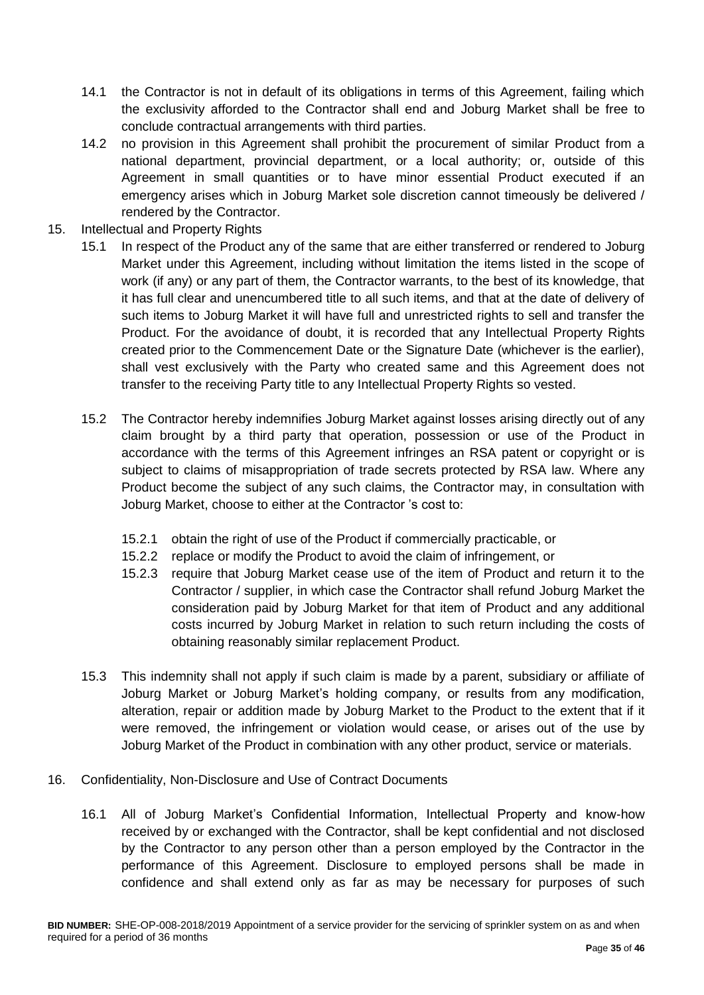- 14.1 the Contractor is not in default of its obligations in terms of this Agreement, failing which the exclusivity afforded to the Contractor shall end and Joburg Market shall be free to conclude contractual arrangements with third parties.
- 14.2 no provision in this Agreement shall prohibit the procurement of similar Product from a national department, provincial department, or a local authority; or, outside of this Agreement in small quantities or to have minor essential Product executed if an emergency arises which in Joburg Market sole discretion cannot timeously be delivered / rendered by the Contractor.
- 15. Intellectual and Property Rights
	- 15.1 In respect of the Product any of the same that are either transferred or rendered to Joburg Market under this Agreement, including without limitation the items listed in the scope of work (if any) or any part of them, the Contractor warrants, to the best of its knowledge, that it has full clear and unencumbered title to all such items, and that at the date of delivery of such items to Joburg Market it will have full and unrestricted rights to sell and transfer the Product. For the avoidance of doubt, it is recorded that any Intellectual Property Rights created prior to the Commencement Date or the Signature Date (whichever is the earlier), shall vest exclusively with the Party who created same and this Agreement does not transfer to the receiving Party title to any Intellectual Property Rights so vested.
	- 15.2 The Contractor hereby indemnifies Joburg Market against losses arising directly out of any claim brought by a third party that operation, possession or use of the Product in accordance with the terms of this Agreement infringes an RSA patent or copyright or is subject to claims of misappropriation of trade secrets protected by RSA law. Where any Product become the subject of any such claims, the Contractor may, in consultation with Joburg Market, choose to either at the Contractor 's cost to:
		- 15.2.1 obtain the right of use of the Product if commercially practicable, or
		- 15.2.2 replace or modify the Product to avoid the claim of infringement, or
		- 15.2.3 require that Joburg Market cease use of the item of Product and return it to the Contractor / supplier, in which case the Contractor shall refund Joburg Market the consideration paid by Joburg Market for that item of Product and any additional costs incurred by Joburg Market in relation to such return including the costs of obtaining reasonably similar replacement Product.
	- 15.3 This indemnity shall not apply if such claim is made by a parent, subsidiary or affiliate of Joburg Market or Joburg Market's holding company, or results from any modification, alteration, repair or addition made by Joburg Market to the Product to the extent that if it were removed, the infringement or violation would cease, or arises out of the use by Joburg Market of the Product in combination with any other product, service or materials.
- 16. Confidentiality, Non-Disclosure and Use of Contract Documents
	- 16.1 All of Joburg Market's Confidential Information, Intellectual Property and know-how received by or exchanged with the Contractor, shall be kept confidential and not disclosed by the Contractor to any person other than a person employed by the Contractor in the performance of this Agreement. Disclosure to employed persons shall be made in confidence and shall extend only as far as may be necessary for purposes of such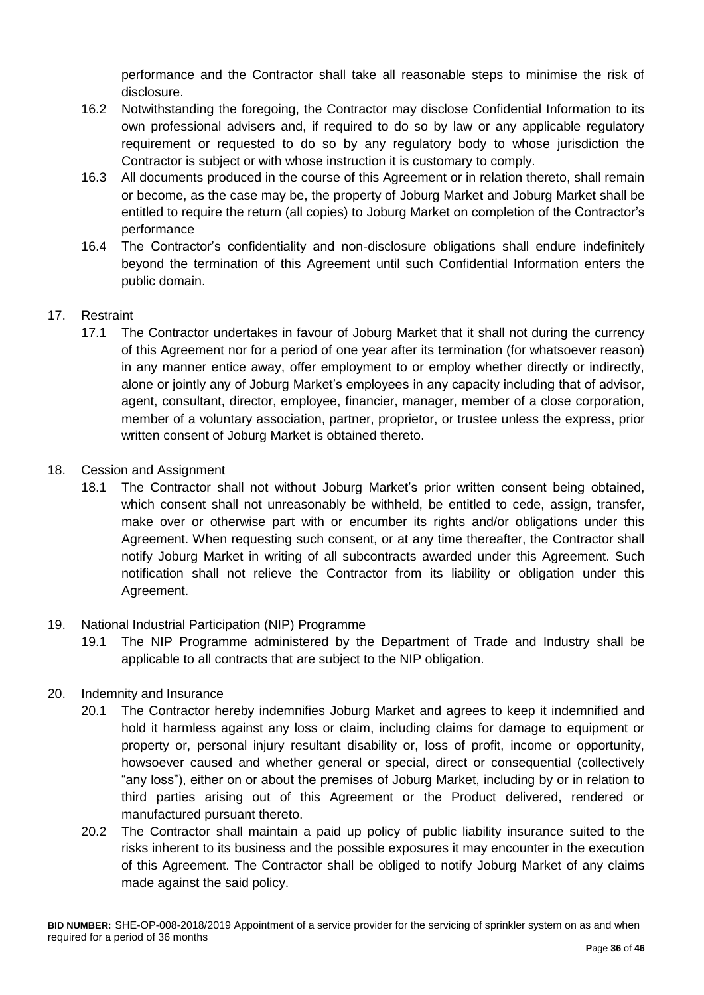performance and the Contractor shall take all reasonable steps to minimise the risk of disclosure.

- 16.2 Notwithstanding the foregoing, the Contractor may disclose Confidential Information to its own professional advisers and, if required to do so by law or any applicable regulatory requirement or requested to do so by any regulatory body to whose jurisdiction the Contractor is subject or with whose instruction it is customary to comply.
- 16.3 All documents produced in the course of this Agreement or in relation thereto, shall remain or become, as the case may be, the property of Joburg Market and Joburg Market shall be entitled to require the return (all copies) to Joburg Market on completion of the Contractor's performance
- 16.4 The Contractor's confidentiality and non-disclosure obligations shall endure indefinitely beyond the termination of this Agreement until such Confidential Information enters the public domain.

# 17. Restraint

- 17.1 The Contractor undertakes in favour of Joburg Market that it shall not during the currency of this Agreement nor for a period of one year after its termination (for whatsoever reason) in any manner entice away, offer employment to or employ whether directly or indirectly, alone or jointly any of Joburg Market's employees in any capacity including that of advisor, agent, consultant, director, employee, financier, manager, member of a close corporation, member of a voluntary association, partner, proprietor, or trustee unless the express, prior written consent of Joburg Market is obtained thereto.
- 18. Cession and Assignment
	- 18.1 The Contractor shall not without Joburg Market's prior written consent being obtained, which consent shall not unreasonably be withheld, be entitled to cede, assign, transfer, make over or otherwise part with or encumber its rights and/or obligations under this Agreement. When requesting such consent, or at any time thereafter, the Contractor shall notify Joburg Market in writing of all subcontracts awarded under this Agreement. Such notification shall not relieve the Contractor from its liability or obligation under this Agreement.
- 19. National Industrial Participation (NIP) Programme
	- 19.1 The NIP Programme administered by the Department of Trade and Industry shall be applicable to all contracts that are subject to the NIP obligation.
- 20. Indemnity and Insurance
	- 20.1 The Contractor hereby indemnifies Joburg Market and agrees to keep it indemnified and hold it harmless against any loss or claim, including claims for damage to equipment or property or, personal injury resultant disability or, loss of profit, income or opportunity, howsoever caused and whether general or special, direct or consequential (collectively "any loss"), either on or about the premises of Joburg Market, including by or in relation to third parties arising out of this Agreement or the Product delivered, rendered or manufactured pursuant thereto.
	- 20.2 The Contractor shall maintain a paid up policy of public liability insurance suited to the risks inherent to its business and the possible exposures it may encounter in the execution of this Agreement. The Contractor shall be obliged to notify Joburg Market of any claims made against the said policy.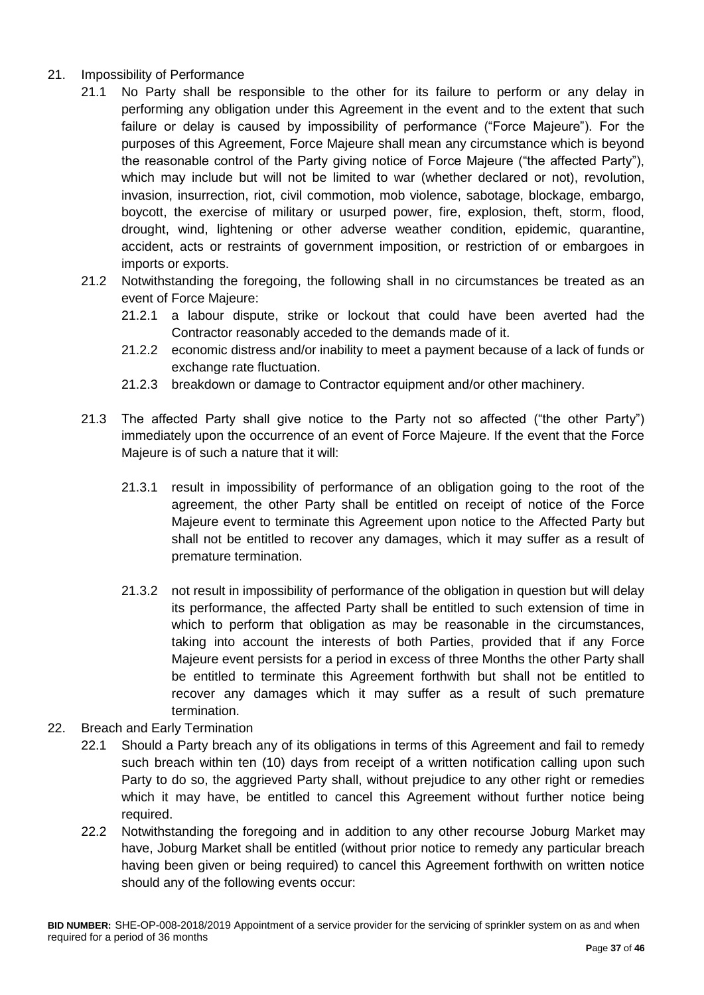- 21. Impossibility of Performance
	- 21.1 No Party shall be responsible to the other for its failure to perform or any delay in performing any obligation under this Agreement in the event and to the extent that such failure or delay is caused by impossibility of performance ("Force Majeure"). For the purposes of this Agreement, Force Majeure shall mean any circumstance which is beyond the reasonable control of the Party giving notice of Force Majeure ("the affected Party"), which may include but will not be limited to war (whether declared or not), revolution, invasion, insurrection, riot, civil commotion, mob violence, sabotage, blockage, embargo, boycott, the exercise of military or usurped power, fire, explosion, theft, storm, flood, drought, wind, lightening or other adverse weather condition, epidemic, quarantine, accident, acts or restraints of government imposition, or restriction of or embargoes in imports or exports.
	- 21.2 Notwithstanding the foregoing, the following shall in no circumstances be treated as an event of Force Majeure:
		- 21.2.1 a labour dispute, strike or lockout that could have been averted had the Contractor reasonably acceded to the demands made of it.
		- 21.2.2 economic distress and/or inability to meet a payment because of a lack of funds or exchange rate fluctuation.
		- 21.2.3 breakdown or damage to Contractor equipment and/or other machinery.
	- 21.3 The affected Party shall give notice to the Party not so affected ("the other Party") immediately upon the occurrence of an event of Force Majeure. If the event that the Force Majeure is of such a nature that it will:
		- 21.3.1 result in impossibility of performance of an obligation going to the root of the agreement, the other Party shall be entitled on receipt of notice of the Force Majeure event to terminate this Agreement upon notice to the Affected Party but shall not be entitled to recover any damages, which it may suffer as a result of premature termination.
		- 21.3.2 not result in impossibility of performance of the obligation in question but will delay its performance, the affected Party shall be entitled to such extension of time in which to perform that obligation as may be reasonable in the circumstances, taking into account the interests of both Parties, provided that if any Force Majeure event persists for a period in excess of three Months the other Party shall be entitled to terminate this Agreement forthwith but shall not be entitled to recover any damages which it may suffer as a result of such premature termination.
- 22. Breach and Early Termination
	- 22.1 Should a Party breach any of its obligations in terms of this Agreement and fail to remedy such breach within ten (10) days from receipt of a written notification calling upon such Party to do so, the aggrieved Party shall, without prejudice to any other right or remedies which it may have, be entitled to cancel this Agreement without further notice being required.
	- 22.2 Notwithstanding the foregoing and in addition to any other recourse Joburg Market may have, Joburg Market shall be entitled (without prior notice to remedy any particular breach having been given or being required) to cancel this Agreement forthwith on written notice should any of the following events occur: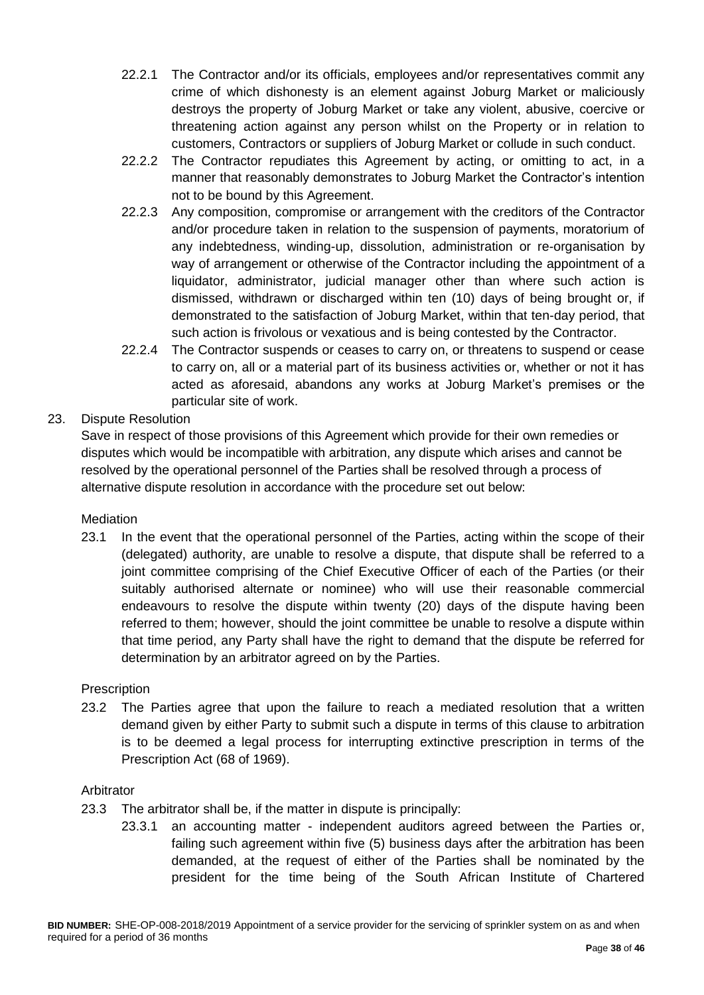- 22.2.1 The Contractor and/or its officials, employees and/or representatives commit any crime of which dishonesty is an element against Joburg Market or maliciously destroys the property of Joburg Market or take any violent, abusive, coercive or threatening action against any person whilst on the Property or in relation to customers, Contractors or suppliers of Joburg Market or collude in such conduct.
- 22.2.2 The Contractor repudiates this Agreement by acting, or omitting to act, in a manner that reasonably demonstrates to Joburg Market the Contractor's intention not to be bound by this Agreement.
- 22.2.3 Any composition, compromise or arrangement with the creditors of the Contractor and/or procedure taken in relation to the suspension of payments, moratorium of any indebtedness, winding-up, dissolution, administration or re-organisation by way of arrangement or otherwise of the Contractor including the appointment of a liquidator, administrator, judicial manager other than where such action is dismissed, withdrawn or discharged within ten (10) days of being brought or, if demonstrated to the satisfaction of Joburg Market, within that ten-day period, that such action is frivolous or vexatious and is being contested by the Contractor.
- 22.2.4 The Contractor suspends or ceases to carry on, or threatens to suspend or cease to carry on, all or a material part of its business activities or, whether or not it has acted as aforesaid, abandons any works at Joburg Market's premises or the particular site of work.

# 23. Dispute Resolution

Save in respect of those provisions of this Agreement which provide for their own remedies or disputes which would be incompatible with arbitration, any dispute which arises and cannot be resolved by the operational personnel of the Parties shall be resolved through a process of alternative dispute resolution in accordance with the procedure set out below:

#### **Mediation**

23.1 In the event that the operational personnel of the Parties, acting within the scope of their (delegated) authority, are unable to resolve a dispute, that dispute shall be referred to a joint committee comprising of the Chief Executive Officer of each of the Parties (or their suitably authorised alternate or nominee) who will use their reasonable commercial endeavours to resolve the dispute within twenty (20) days of the dispute having been referred to them; however, should the joint committee be unable to resolve a dispute within that time period, any Party shall have the right to demand that the dispute be referred for determination by an arbitrator agreed on by the Parties.

#### **Prescription**

23.2 The Parties agree that upon the failure to reach a mediated resolution that a written demand given by either Party to submit such a dispute in terms of this clause to arbitration is to be deemed a legal process for interrupting extinctive prescription in terms of the Prescription Act (68 of 1969).

#### Arbitrator

- 23.3 The arbitrator shall be, if the matter in dispute is principally:
	- 23.3.1 an accounting matter independent auditors agreed between the Parties or, failing such agreement within five (5) business days after the arbitration has been demanded, at the request of either of the Parties shall be nominated by the president for the time being of the South African Institute of Chartered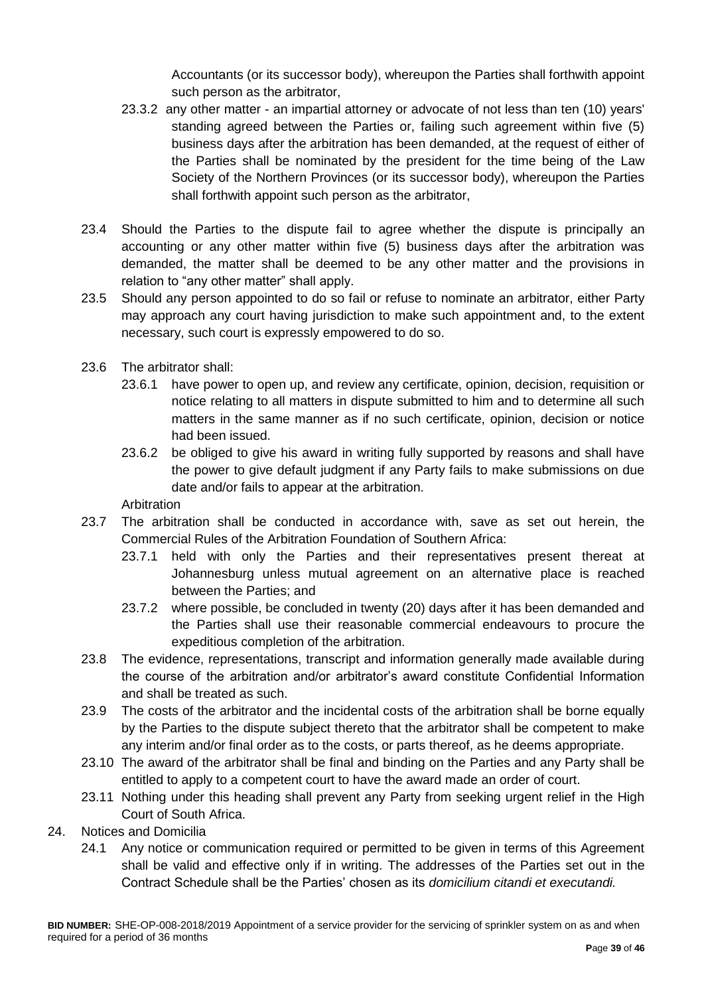Accountants (or its successor body), whereupon the Parties shall forthwith appoint such person as the arbitrator,

- 23.3.2 any other matter an impartial attorney or advocate of not less than ten (10) years' standing agreed between the Parties or, failing such agreement within five (5) business days after the arbitration has been demanded, at the request of either of the Parties shall be nominated by the president for the time being of the Law Society of the Northern Provinces (or its successor body), whereupon the Parties shall forthwith appoint such person as the arbitrator,
- 23.4 Should the Parties to the dispute fail to agree whether the dispute is principally an accounting or any other matter within five (5) business days after the arbitration was demanded, the matter shall be deemed to be any other matter and the provisions in relation to "any other matter" shall apply.
- 23.5 Should any person appointed to do so fail or refuse to nominate an arbitrator, either Party may approach any court having jurisdiction to make such appointment and, to the extent necessary, such court is expressly empowered to do so.
- 23.6 The arbitrator shall:
	- 23.6.1 have power to open up, and review any certificate, opinion, decision, requisition or notice relating to all matters in dispute submitted to him and to determine all such matters in the same manner as if no such certificate, opinion, decision or notice had been issued.
	- 23.6.2 be obliged to give his award in writing fully supported by reasons and shall have the power to give default judgment if any Party fails to make submissions on due date and/or fails to appear at the arbitration.

Arbitration

- 23.7 The arbitration shall be conducted in accordance with, save as set out herein, the Commercial Rules of the Arbitration Foundation of Southern Africa:
	- 23.7.1 held with only the Parties and their representatives present thereat at Johannesburg unless mutual agreement on an alternative place is reached between the Parties; and
	- 23.7.2 where possible, be concluded in twenty (20) days after it has been demanded and the Parties shall use their reasonable commercial endeavours to procure the expeditious completion of the arbitration.
- 23.8 The evidence, representations, transcript and information generally made available during the course of the arbitration and/or arbitrator's award constitute Confidential Information and shall be treated as such.
- 23.9 The costs of the arbitrator and the incidental costs of the arbitration shall be borne equally by the Parties to the dispute subject thereto that the arbitrator shall be competent to make any interim and/or final order as to the costs, or parts thereof, as he deems appropriate.
- 23.10 The award of the arbitrator shall be final and binding on the Parties and any Party shall be entitled to apply to a competent court to have the award made an order of court.
- 23.11 Nothing under this heading shall prevent any Party from seeking urgent relief in the High Court of South Africa.
- 24. Notices and Domicilia
	- 24.1 Any notice or communication required or permitted to be given in terms of this Agreement shall be valid and effective only if in writing. The addresses of the Parties set out in the Contract Schedule shall be the Parties' chosen as its *domicilium citandi et executandi.*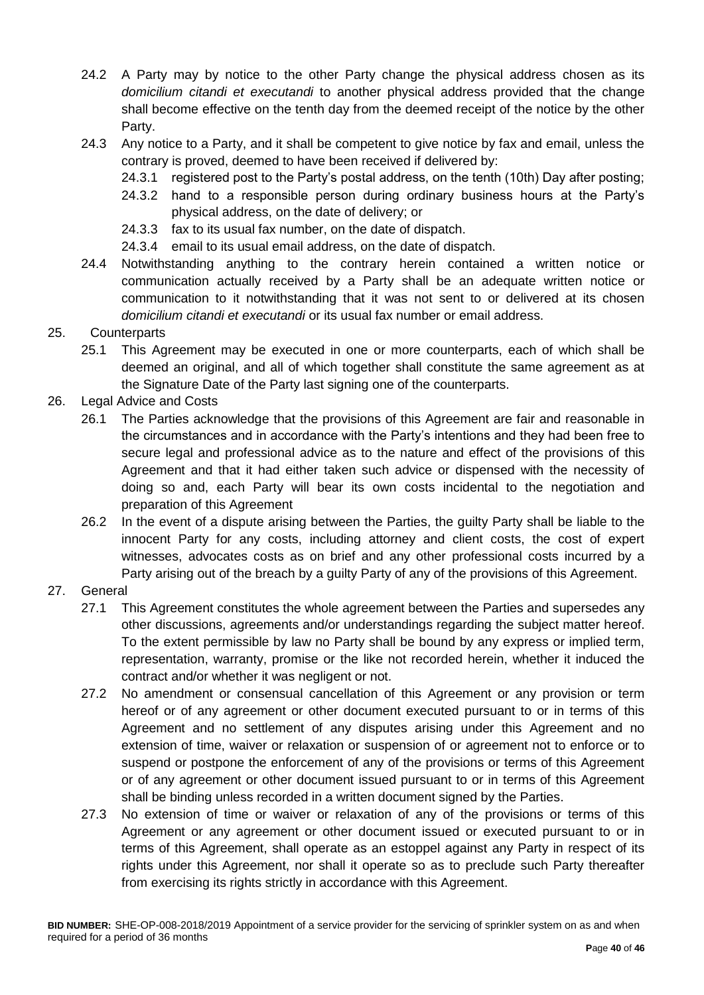- 24.2 A Party may by notice to the other Party change the physical address chosen as its *domicilium citandi et executandi* to another physical address provided that the change shall become effective on the tenth day from the deemed receipt of the notice by the other Party.
- 24.3 Any notice to a Party, and it shall be competent to give notice by fax and email, unless the contrary is proved, deemed to have been received if delivered by:
	- 24.3.1 registered post to the Party's postal address, on the tenth (10th) Day after posting;
	- 24.3.2 hand to a responsible person during ordinary business hours at the Party's physical address, on the date of delivery; or
	- 24.3.3 fax to its usual fax number, on the date of dispatch.
	- 24.3.4 email to its usual email address, on the date of dispatch.
- 24.4 Notwithstanding anything to the contrary herein contained a written notice or communication actually received by a Party shall be an adequate written notice or communication to it notwithstanding that it was not sent to or delivered at its chosen *domicilium citandi et executandi* or its usual fax number or email address.

# 25. Counterparts

- 25.1 This Agreement may be executed in one or more counterparts, each of which shall be deemed an original, and all of which together shall constitute the same agreement as at the Signature Date of the Party last signing one of the counterparts.
- 26. Legal Advice and Costs
	- 26.1 The Parties acknowledge that the provisions of this Agreement are fair and reasonable in the circumstances and in accordance with the Party's intentions and they had been free to secure legal and professional advice as to the nature and effect of the provisions of this Agreement and that it had either taken such advice or dispensed with the necessity of doing so and, each Party will bear its own costs incidental to the negotiation and preparation of this Agreement
	- 26.2 In the event of a dispute arising between the Parties, the guilty Party shall be liable to the innocent Party for any costs, including attorney and client costs, the cost of expert witnesses, advocates costs as on brief and any other professional costs incurred by a Party arising out of the breach by a guilty Party of any of the provisions of this Agreement.

# 27. General

- 27.1 This Agreement constitutes the whole agreement between the Parties and supersedes any other discussions, agreements and/or understandings regarding the subject matter hereof. To the extent permissible by law no Party shall be bound by any express or implied term, representation, warranty, promise or the like not recorded herein, whether it induced the contract and/or whether it was negligent or not.
- 27.2 No amendment or consensual cancellation of this Agreement or any provision or term hereof or of any agreement or other document executed pursuant to or in terms of this Agreement and no settlement of any disputes arising under this Agreement and no extension of time, waiver or relaxation or suspension of or agreement not to enforce or to suspend or postpone the enforcement of any of the provisions or terms of this Agreement or of any agreement or other document issued pursuant to or in terms of this Agreement shall be binding unless recorded in a written document signed by the Parties.
- 27.3 No extension of time or waiver or relaxation of any of the provisions or terms of this Agreement or any agreement or other document issued or executed pursuant to or in terms of this Agreement, shall operate as an estoppel against any Party in respect of its rights under this Agreement, nor shall it operate so as to preclude such Party thereafter from exercising its rights strictly in accordance with this Agreement.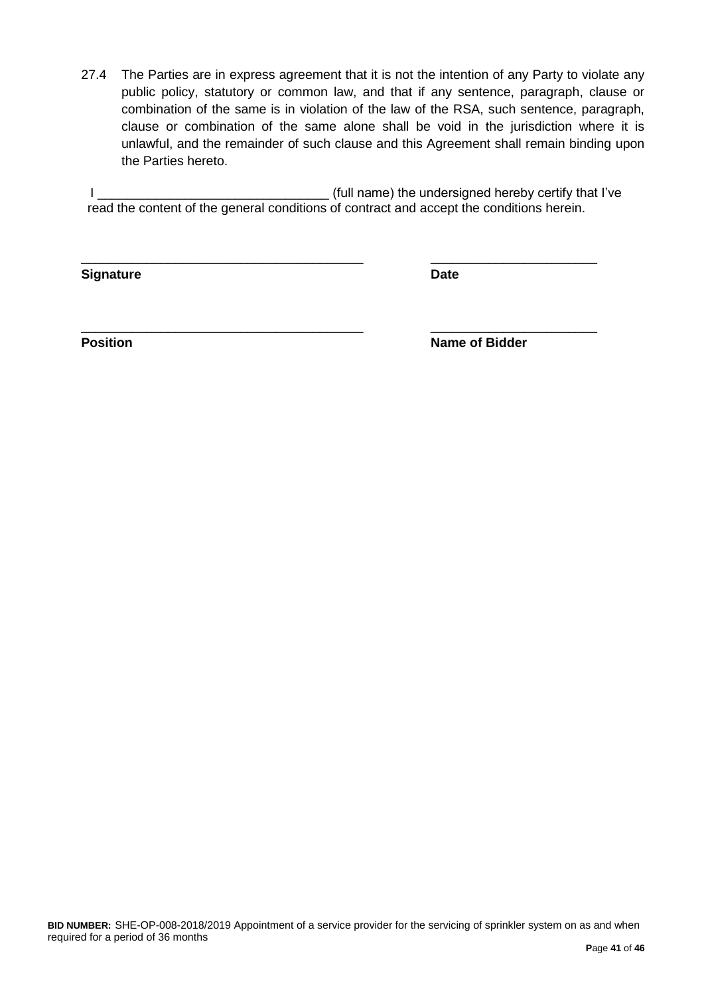27.4 The Parties are in express agreement that it is not the intention of any Party to violate any public policy, statutory or common law, and that if any sentence, paragraph, clause or combination of the same is in violation of the law of the RSA, such sentence, paragraph, clause or combination of the same alone shall be void in the jurisdiction where it is unlawful, and the remainder of such clause and this Agreement shall remain binding upon the Parties hereto.

I \_\_\_\_\_\_\_\_\_\_\_\_\_\_\_\_\_\_\_\_\_\_\_\_\_\_\_\_\_\_\_\_ (full name) the undersigned hereby certify that I've read the content of the general conditions of contract and accept the conditions herein.

\_\_\_\_\_\_\_\_\_\_\_\_\_\_\_\_\_\_\_\_\_\_\_\_\_\_\_\_\_\_\_\_\_\_\_\_\_\_\_ \_\_\_\_\_\_\_\_\_\_\_\_\_\_\_\_\_\_\_\_\_\_\_

\_\_\_\_\_\_\_\_\_\_\_\_\_\_\_\_\_\_\_\_\_\_\_\_\_\_\_\_\_\_\_\_\_\_\_\_\_\_\_ \_\_\_\_\_\_\_\_\_\_\_\_\_\_\_\_\_\_\_\_\_\_\_

**Signature Date**

**Position** Name of Bidder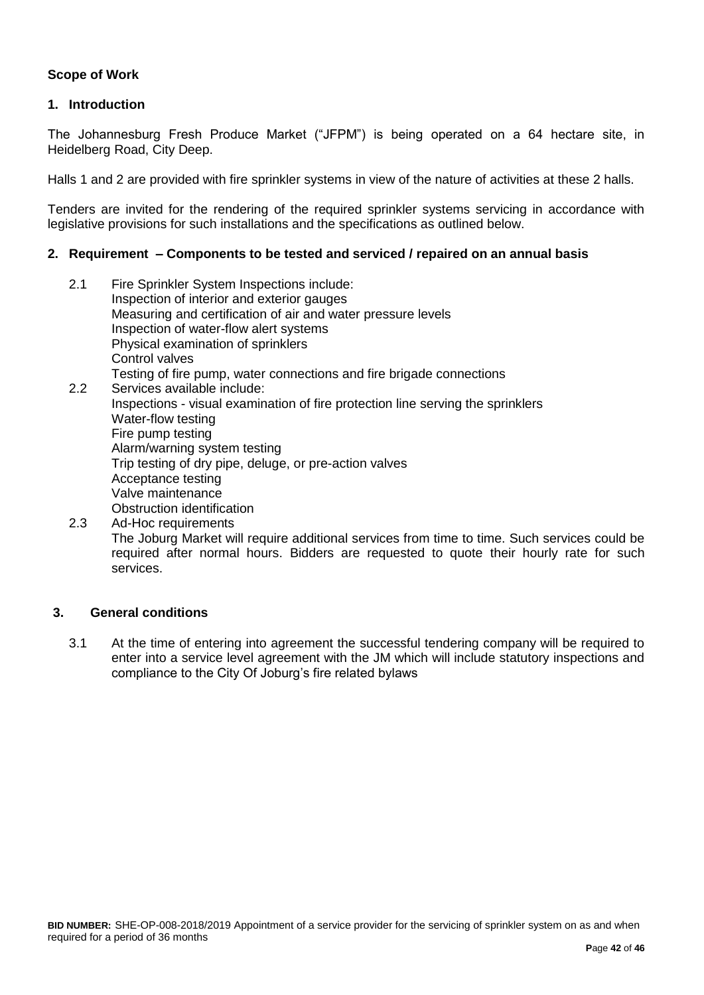# **Scope of Work**

#### **1. Introduction**

The Johannesburg Fresh Produce Market ("JFPM") is being operated on a 64 hectare site, in Heidelberg Road, City Deep.

Halls 1 and 2 are provided with fire sprinkler systems in view of the nature of activities at these 2 halls.

Tenders are invited for the rendering of the required sprinkler systems servicing in accordance with legislative provisions for such installations and the specifications as outlined below.

#### **2. Requirement – Components to be tested and serviced / repaired on an annual basis**

- 2.1 Fire Sprinkler System Inspections include: Inspection of interior and exterior gauges Measuring and certification of air and water pressure levels Inspection of water-flow alert systems Physical examination of sprinklers Control valves Testing of fire pump, water connections and fire brigade connections 2.2 Services available include: Inspections - visual examination of fire protection line serving the sprinklers Water-flow testing Fire pump testing Alarm/warning system testing Trip testing of dry pipe, deluge, or pre-action valves Acceptance testing Valve maintenance Obstruction identification 2.3 Ad-Hoc requirements
- The Joburg Market will require additional services from time to time. Such services could be required after normal hours. Bidders are requested to quote their hourly rate for such services.

#### **3. General conditions**

3.1 At the time of entering into agreement the successful tendering company will be required to enter into a service level agreement with the JM which will include statutory inspections and compliance to the City Of Joburg's fire related bylaws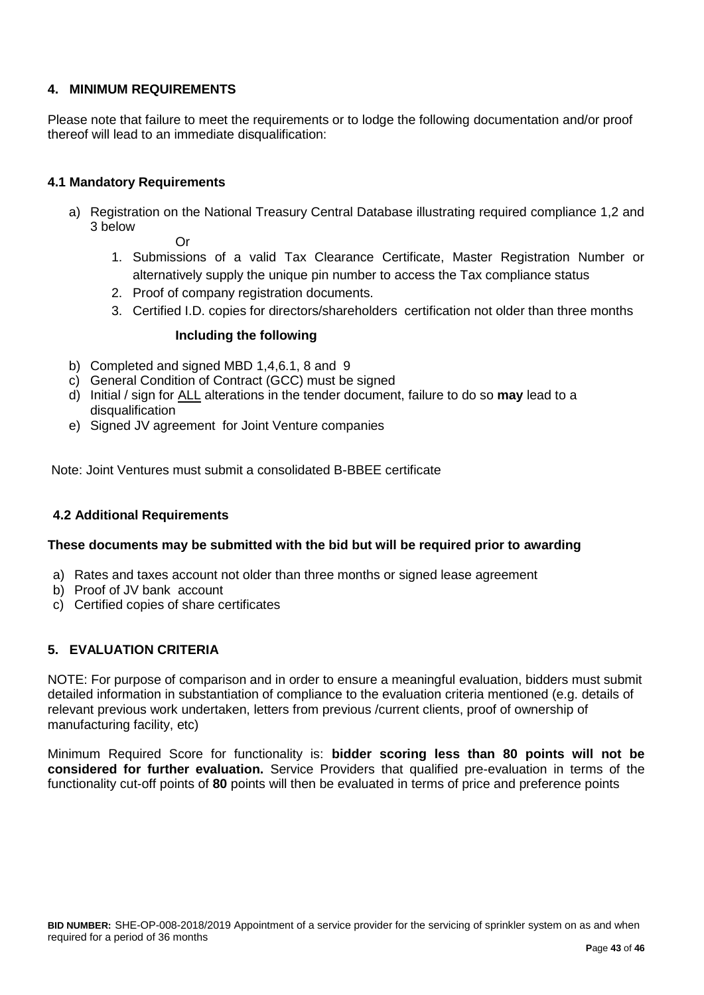# **4. MINIMUM REQUIREMENTS**

Please note that failure to meet the requirements or to lodge the following documentation and/or proof thereof will lead to an immediate disqualification:

### **4.1 Mandatory Requirements**

a) Registration on the National Treasury Central Database illustrating required compliance 1,2 and 3 below

Or

- 1. Submissions of a valid Tax Clearance Certificate, Master Registration Number or alternatively supply the unique pin number to access the Tax compliance status
- 2. Proof of company registration documents.
- 3. Certified I.D. copies for directors/shareholders certification not older than three months

#### **Including the following**

- b) Completed and signed MBD 1,4,6.1, 8 and 9
- c) General Condition of Contract (GCC) must be signed
- d) Initial / sign for ALL alterations in the tender document, failure to do so **may** lead to a disqualification
- e) Signed JV agreement for Joint Venture companies

Note: Joint Ventures must submit a consolidated B-BBEE certificate

#### **4.2 Additional Requirements**

#### **These documents may be submitted with the bid but will be required prior to awarding**

- a) Rates and taxes account not older than three months or signed lease agreement
- b) Proof of JV bank account
- c) Certified copies of share certificates

# **5. EVALUATION CRITERIA**

NOTE: For purpose of comparison and in order to ensure a meaningful evaluation, bidders must submit detailed information in substantiation of compliance to the evaluation criteria mentioned (e.g. details of relevant previous work undertaken, letters from previous /current clients, proof of ownership of manufacturing facility, etc)

Minimum Required Score for functionality is: **bidder scoring less than 80 points will not be considered for further evaluation.** Service Providers that qualified pre-evaluation in terms of the functionality cut-off points of **80** points will then be evaluated in terms of price and preference points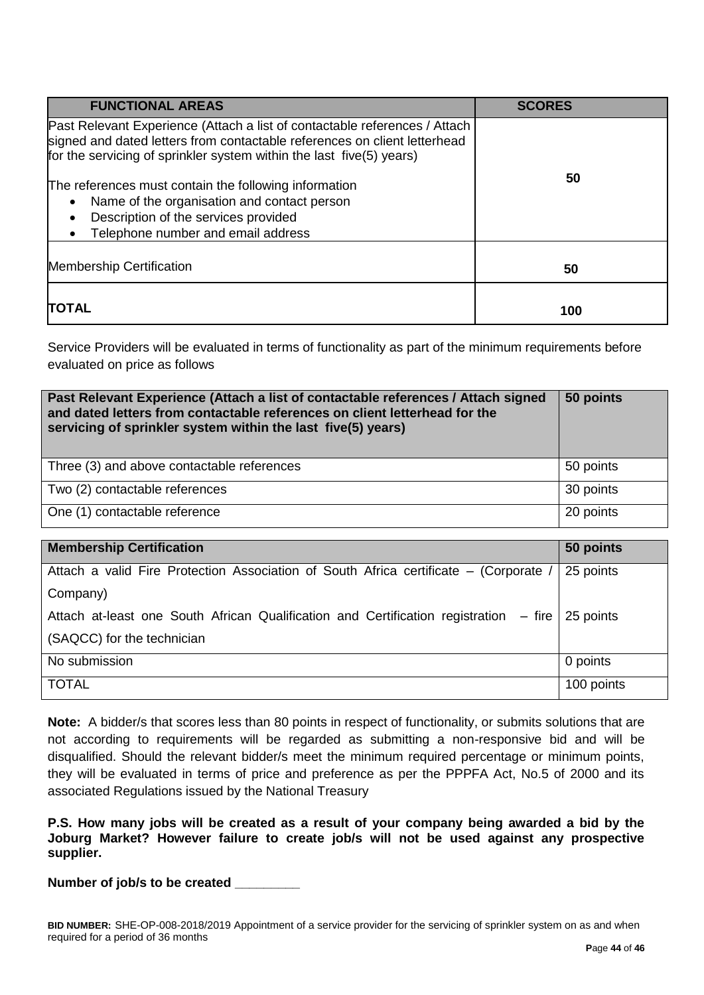| <b>FUNCTIONAL AREAS</b>                                                                                                                                                                                                         | <b>SCORES</b> |
|---------------------------------------------------------------------------------------------------------------------------------------------------------------------------------------------------------------------------------|---------------|
| Past Relevant Experience (Attach a list of contactable references / Attach<br>signed and dated letters from contactable references on client letterhead<br>for the servicing of sprinkler system within the last five(5) years) | 50            |
| The references must contain the following information                                                                                                                                                                           |               |
| Name of the organisation and contact person                                                                                                                                                                                     |               |
| Description of the services provided                                                                                                                                                                                            |               |
| Telephone number and email address                                                                                                                                                                                              |               |
| <b>Membership Certification</b>                                                                                                                                                                                                 | 50            |
| <b>ITOTAL</b>                                                                                                                                                                                                                   | 100           |

Service Providers will be evaluated in terms of functionality as part of the minimum requirements before evaluated on price as follows

| Past Relevant Experience (Attach a list of contactable references / Attach signed<br>and dated letters from contactable references on client letterhead for the<br>servicing of sprinkler system within the last five(5) years) | 50 points |
|---------------------------------------------------------------------------------------------------------------------------------------------------------------------------------------------------------------------------------|-----------|
| Three (3) and above contactable references                                                                                                                                                                                      | 50 points |
| Two (2) contactable references                                                                                                                                                                                                  | 30 points |
| One (1) contactable reference                                                                                                                                                                                                   | 20 points |

| <b>Membership Certification</b>                                                                 | 50 points  |
|-------------------------------------------------------------------------------------------------|------------|
| Attach a valid Fire Protection Association of South Africa certificate – (Corporate /           | 25 points  |
| Company)                                                                                        |            |
| Attach at-least one South African Qualification and Certification registration – fire 25 points |            |
| (SAQCC) for the technician                                                                      |            |
| No submission                                                                                   | 0 points   |
| <b>TOTAL</b>                                                                                    | 100 points |

**Note:** A bidder/s that scores less than 80 points in respect of functionality, or submits solutions that are not according to requirements will be regarded as submitting a non-responsive bid and will be disqualified. Should the relevant bidder/s meet the minimum required percentage or minimum points, they will be evaluated in terms of price and preference as per the PPPFA Act, No.5 of 2000 and its associated Regulations issued by the National Treasury

**P.S. How many jobs will be created as a result of your company being awarded a bid by the Joburg Market? However failure to create job/s will not be used against any prospective supplier.** 

**Number of job/s to be created \_\_\_\_\_\_\_\_\_**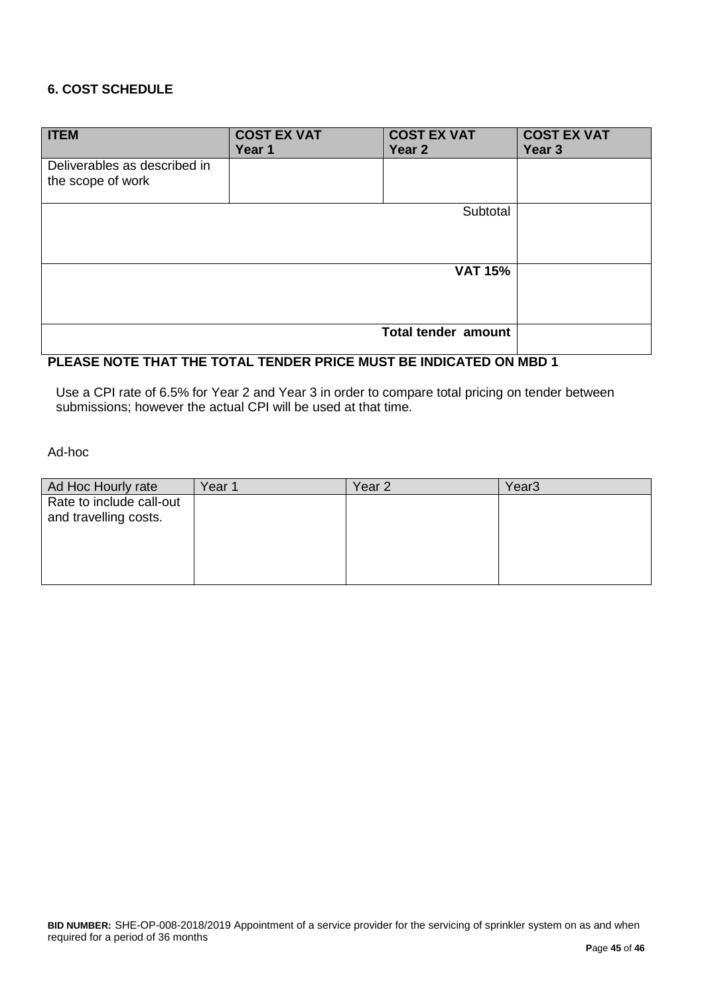# **6. COST SCHEDULE**

| <b>ITEM</b>                                       | <b>COST EX VAT</b><br>Year 1 | <b>COST EX VAT</b><br>Year 2 | <b>COST EX VAT</b><br>Year <sub>3</sub> |
|---------------------------------------------------|------------------------------|------------------------------|-----------------------------------------|
| Deliverables as described in<br>the scope of work |                              |                              |                                         |
|                                                   |                              | Subtotal                     |                                         |
|                                                   |                              | <b>VAT 15%</b>               |                                         |
|                                                   |                              | Total tender amount          |                                         |

# **PLEASE NOTE THAT THE TOTAL TENDER PRICE MUST BE INDICATED ON MBD 1**

Use a CPI rate of 6.5% for Year 2 and Year 3 in order to compare total pricing on tender between submissions; however the actual CPI will be used at that time.

Ad-hoc

| Ad Hoc Hourly rate                                | Year 1 | Year 2 | Year3 |
|---------------------------------------------------|--------|--------|-------|
| Rate to include call-out<br>and travelling costs. |        |        |       |
|                                                   |        |        |       |